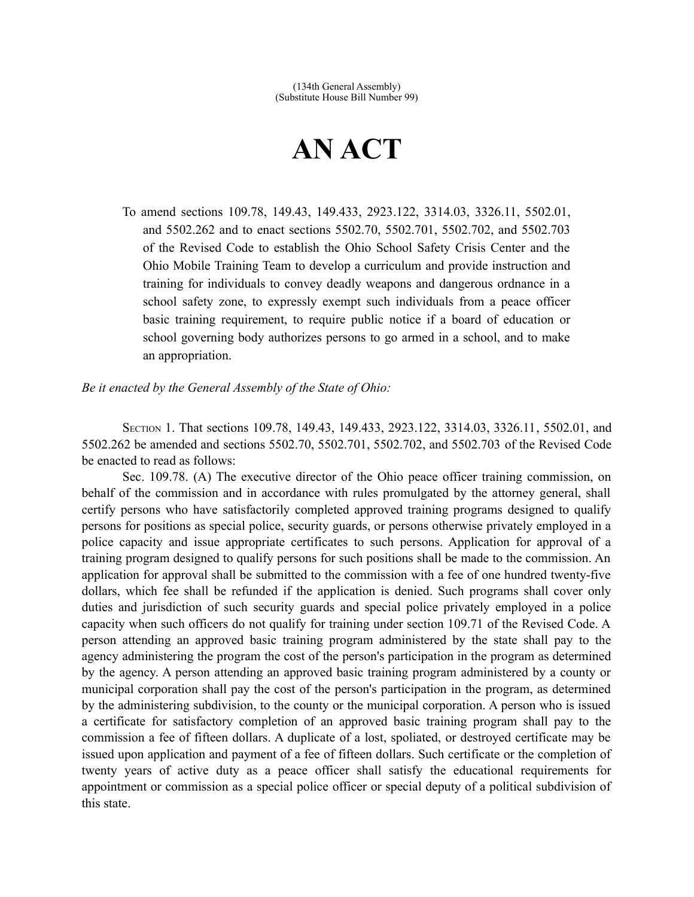## **AN ACT**

To amend sections 109.78, 149.43, 149.433, 2923.122, 3314.03, 3326.11, 5502.01, and 5502.262 and to enact sections 5502.70, 5502.701, 5502.702, and 5502.703 of the Revised Code to establish the Ohio School Safety Crisis Center and the Ohio Mobile Training Team to develop a curriculum and provide instruction and training for individuals to convey deadly weapons and dangerous ordnance in a school safety zone, to expressly exempt such individuals from a peace officer basic training requirement, to require public notice if a board of education or school governing body authorizes persons to go armed in a school, and to make an appropriation.

*Be it enacted by the General Assembly of the State of Ohio:*

SECTION 1. That sections 109.78, 149.43, 149.433, 2923.122, 3314.03, 3326.11, 5502.01, and 5502.262 be amended and sections 5502.70, 5502.701, 5502.702, and 5502.703 of the Revised Code be enacted to read as follows:

Sec. 109.78. (A) The executive director of the Ohio peace officer training commission, on behalf of the commission and in accordance with rules promulgated by the attorney general, shall certify persons who have satisfactorily completed approved training programs designed to qualify persons for positions as special police, security guards, or persons otherwise privately employed in a police capacity and issue appropriate certificates to such persons. Application for approval of a training program designed to qualify persons for such positions shall be made to the commission. An application for approval shall be submitted to the commission with a fee of one hundred twenty-five dollars, which fee shall be refunded if the application is denied. Such programs shall cover only duties and jurisdiction of such security guards and special police privately employed in a police capacity when such officers do not qualify for training under section 109.71 of the Revised Code. A person attending an approved basic training program administered by the state shall pay to the agency administering the program the cost of the person's participation in the program as determined by the agency. A person attending an approved basic training program administered by a county or municipal corporation shall pay the cost of the person's participation in the program, as determined by the administering subdivision, to the county or the municipal corporation. A person who is issued a certificate for satisfactory completion of an approved basic training program shall pay to the commission a fee of fifteen dollars. A duplicate of a lost, spoliated, or destroyed certificate may be issued upon application and payment of a fee of fifteen dollars. Such certificate or the completion of twenty years of active duty as a peace officer shall satisfy the educational requirements for appointment or commission as a special police officer or special deputy of a political subdivision of this state.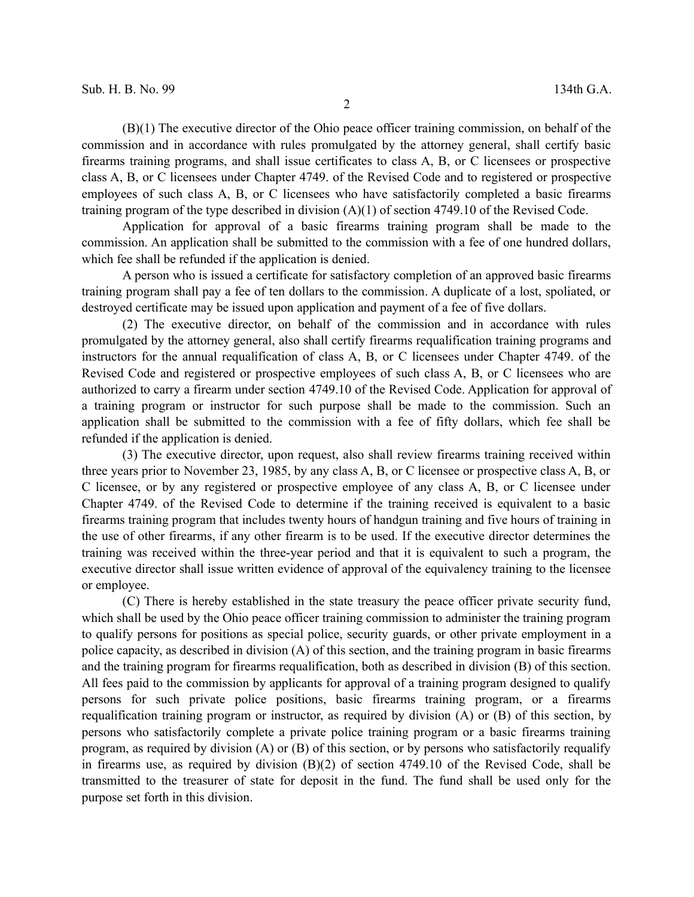(B)(1) The executive director of the Ohio peace officer training commission, on behalf of the commission and in accordance with rules promulgated by the attorney general, shall certify basic firearms training programs, and shall issue certificates to class A, B, or C licensees or prospective class A, B, or C licensees under Chapter 4749. of the Revised Code and to registered or prospective employees of such class A, B, or C licensees who have satisfactorily completed a basic firearms training program of the type described in division (A)(1) of section 4749.10 of the Revised Code.

Application for approval of a basic firearms training program shall be made to the commission. An application shall be submitted to the commission with a fee of one hundred dollars, which fee shall be refunded if the application is denied.

A person who is issued a certificate for satisfactory completion of an approved basic firearms training program shall pay a fee of ten dollars to the commission. A duplicate of a lost, spoliated, or destroyed certificate may be issued upon application and payment of a fee of five dollars.

(2) The executive director, on behalf of the commission and in accordance with rules promulgated by the attorney general, also shall certify firearms requalification training programs and instructors for the annual requalification of class A, B, or C licensees under Chapter 4749. of the Revised Code and registered or prospective employees of such class A, B, or C licensees who are authorized to carry a firearm under section 4749.10 of the Revised Code. Application for approval of a training program or instructor for such purpose shall be made to the commission. Such an application shall be submitted to the commission with a fee of fifty dollars, which fee shall be refunded if the application is denied.

(3) The executive director, upon request, also shall review firearms training received within three years prior to November 23, 1985, by any class A, B, or C licensee or prospective class A, B, or C licensee, or by any registered or prospective employee of any class A, B, or C licensee under Chapter 4749. of the Revised Code to determine if the training received is equivalent to a basic firearms training program that includes twenty hours of handgun training and five hours of training in the use of other firearms, if any other firearm is to be used. If the executive director determines the training was received within the three-year period and that it is equivalent to such a program, the executive director shall issue written evidence of approval of the equivalency training to the licensee or employee.

(C) There is hereby established in the state treasury the peace officer private security fund, which shall be used by the Ohio peace officer training commission to administer the training program to qualify persons for positions as special police, security guards, or other private employment in a police capacity, as described in division (A) of this section, and the training program in basic firearms and the training program for firearms requalification, both as described in division (B) of this section. All fees paid to the commission by applicants for approval of a training program designed to qualify persons for such private police positions, basic firearms training program, or a firearms requalification training program or instructor, as required by division (A) or (B) of this section, by persons who satisfactorily complete a private police training program or a basic firearms training program, as required by division (A) or (B) of this section, or by persons who satisfactorily requalify in firearms use, as required by division (B)(2) of section 4749.10 of the Revised Code, shall be transmitted to the treasurer of state for deposit in the fund. The fund shall be used only for the purpose set forth in this division.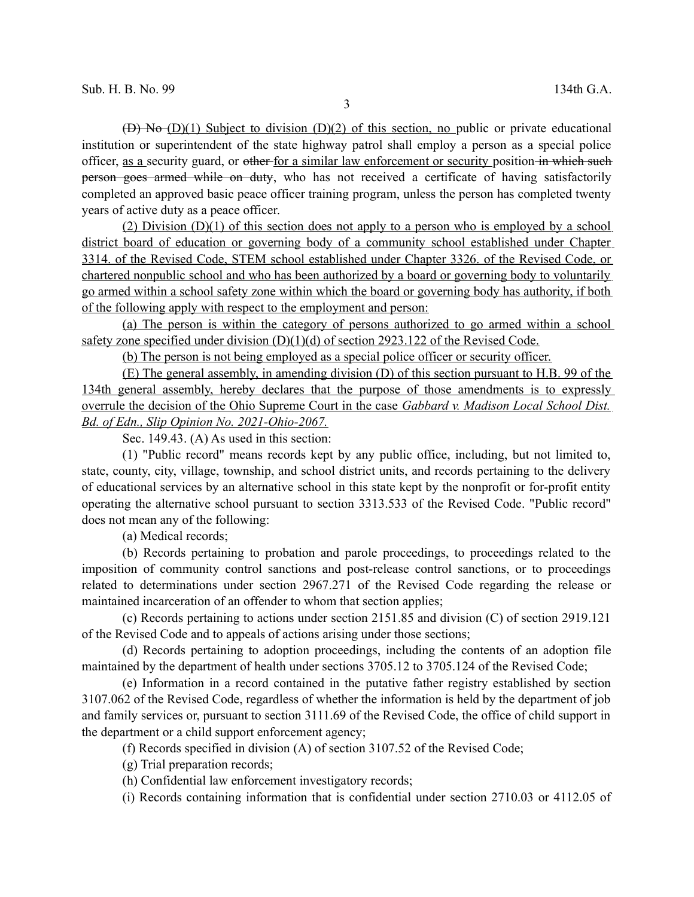$(D)$  No (D)(1) Subject to division (D)(2) of this section, no public or private educational institution or superintendent of the state highway patrol shall employ a person as a special police officer, as a security guard, or other for a similar law enforcement or security position in which such person goes armed while on duty, who has not received a certificate of having satisfactorily completed an approved basic peace officer training program, unless the person has completed twenty years of active duty as a peace officer.

(2) Division (D)(1) of this section does not apply to a person who is employed by a school district board of education or governing body of a community school established under Chapter 3314. of the Revised Code, STEM school established under Chapter 3326. of the Revised Code, or chartered nonpublic school and who has been authorized by a board or governing body to voluntarily go armed within a school safety zone within which the board or governing body has authority, if both of the following apply with respect to the employment and person:

(a) The person is within the category of persons authorized to go armed within a school safety zone specified under division (D)(1)(d) of section 2923.122 of the Revised Code.

(b) The person is not being employed as a special police officer or security officer.

(E) The general assembly, in amending division (D) of this section pursuant to H.B. 99 of the 134th general assembly, hereby declares that the purpose of those amendments is to expressly overrule the decision of the Ohio Supreme Court in the case *Gabbard v. Madison Local School Dist. Bd. of Edn., Slip Opinion No. 2021-Ohio-2067.*

Sec. 149.43. (A) As used in this section:

(1) "Public record" means records kept by any public office, including, but not limited to, state, county, city, village, township, and school district units, and records pertaining to the delivery of educational services by an alternative school in this state kept by the nonprofit or for-profit entity operating the alternative school pursuant to section 3313.533 of the Revised Code. "Public record" does not mean any of the following:

(a) Medical records;

(b) Records pertaining to probation and parole proceedings, to proceedings related to the imposition of community control sanctions and post-release control sanctions, or to proceedings related to determinations under section 2967.271 of the Revised Code regarding the release or maintained incarceration of an offender to whom that section applies;

(c) Records pertaining to actions under section 2151.85 and division (C) of section 2919.121 of the Revised Code and to appeals of actions arising under those sections;

(d) Records pertaining to adoption proceedings, including the contents of an adoption file maintained by the department of health under sections 3705.12 to 3705.124 of the Revised Code;

(e) Information in a record contained in the putative father registry established by section 3107.062 of the Revised Code, regardless of whether the information is held by the department of job and family services or, pursuant to section 3111.69 of the Revised Code, the office of child support in the department or a child support enforcement agency;

(f) Records specified in division (A) of section 3107.52 of the Revised Code;

(g) Trial preparation records;

(h) Confidential law enforcement investigatory records;

(i) Records containing information that is confidential under section 2710.03 or 4112.05 of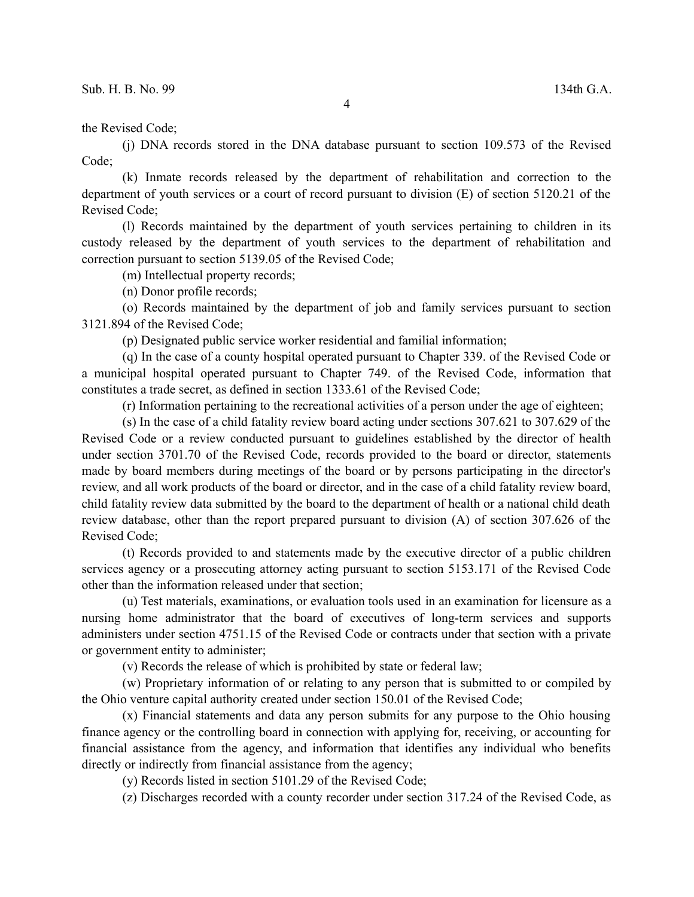the Revised Code;

(j) DNA records stored in the DNA database pursuant to section 109.573 of the Revised Code;

(k) Inmate records released by the department of rehabilitation and correction to the department of youth services or a court of record pursuant to division (E) of section 5120.21 of the Revised Code;

(l) Records maintained by the department of youth services pertaining to children in its custody released by the department of youth services to the department of rehabilitation and correction pursuant to section 5139.05 of the Revised Code;

(m) Intellectual property records;

(n) Donor profile records;

(o) Records maintained by the department of job and family services pursuant to section 3121.894 of the Revised Code;

(p) Designated public service worker residential and familial information;

(q) In the case of a county hospital operated pursuant to Chapter 339. of the Revised Code or a municipal hospital operated pursuant to Chapter 749. of the Revised Code, information that constitutes a trade secret, as defined in section 1333.61 of the Revised Code;

(r) Information pertaining to the recreational activities of a person under the age of eighteen;

(s) In the case of a child fatality review board acting under sections 307.621 to 307.629 of the Revised Code or a review conducted pursuant to guidelines established by the director of health under section 3701.70 of the Revised Code, records provided to the board or director, statements made by board members during meetings of the board or by persons participating in the director's review, and all work products of the board or director, and in the case of a child fatality review board, child fatality review data submitted by the board to the department of health or a national child death review database, other than the report prepared pursuant to division (A) of section 307.626 of the Revised Code;

(t) Records provided to and statements made by the executive director of a public children services agency or a prosecuting attorney acting pursuant to section 5153.171 of the Revised Code other than the information released under that section;

(u) Test materials, examinations, or evaluation tools used in an examination for licensure as a nursing home administrator that the board of executives of long-term services and supports administers under section 4751.15 of the Revised Code or contracts under that section with a private or government entity to administer;

(v) Records the release of which is prohibited by state or federal law;

(w) Proprietary information of or relating to any person that is submitted to or compiled by the Ohio venture capital authority created under section 150.01 of the Revised Code;

(x) Financial statements and data any person submits for any purpose to the Ohio housing finance agency or the controlling board in connection with applying for, receiving, or accounting for financial assistance from the agency, and information that identifies any individual who benefits directly or indirectly from financial assistance from the agency;

(y) Records listed in section 5101.29 of the Revised Code;

(z) Discharges recorded with a county recorder under section 317.24 of the Revised Code, as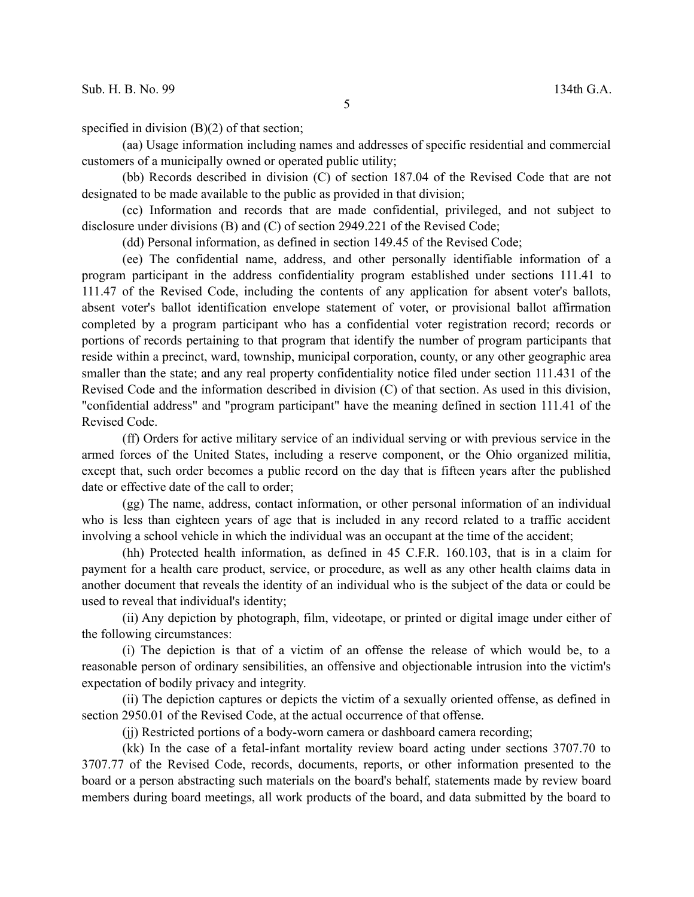specified in division (B)(2) of that section;

(aa) Usage information including names and addresses of specific residential and commercial customers of a municipally owned or operated public utility;

(bb) Records described in division (C) of section 187.04 of the Revised Code that are not designated to be made available to the public as provided in that division;

(cc) Information and records that are made confidential, privileged, and not subject to disclosure under divisions (B) and (C) of section 2949.221 of the Revised Code;

(dd) Personal information, as defined in section 149.45 of the Revised Code;

(ee) The confidential name, address, and other personally identifiable information of a program participant in the address confidentiality program established under sections 111.41 to 111.47 of the Revised Code, including the contents of any application for absent voter's ballots, absent voter's ballot identification envelope statement of voter, or provisional ballot affirmation completed by a program participant who has a confidential voter registration record; records or portions of records pertaining to that program that identify the number of program participants that reside within a precinct, ward, township, municipal corporation, county, or any other geographic area smaller than the state; and any real property confidentiality notice filed under section 111.431 of the Revised Code and the information described in division (C) of that section. As used in this division, "confidential address" and "program participant" have the meaning defined in section 111.41 of the Revised Code.

(ff) Orders for active military service of an individual serving or with previous service in the armed forces of the United States, including a reserve component, or the Ohio organized militia, except that, such order becomes a public record on the day that is fifteen years after the published date or effective date of the call to order;

(gg) The name, address, contact information, or other personal information of an individual who is less than eighteen years of age that is included in any record related to a traffic accident involving a school vehicle in which the individual was an occupant at the time of the accident;

(hh) Protected health information, as defined in 45 C.F.R. 160.103, that is in a claim for payment for a health care product, service, or procedure, as well as any other health claims data in another document that reveals the identity of an individual who is the subject of the data or could be used to reveal that individual's identity;

(ii) Any depiction by photograph, film, videotape, or printed or digital image under either of the following circumstances:

(i) The depiction is that of a victim of an offense the release of which would be, to a reasonable person of ordinary sensibilities, an offensive and objectionable intrusion into the victim's expectation of bodily privacy and integrity.

(ii) The depiction captures or depicts the victim of a sexually oriented offense, as defined in section 2950.01 of the Revised Code, at the actual occurrence of that offense.

(jj) Restricted portions of a body-worn camera or dashboard camera recording;

(kk) In the case of a fetal-infant mortality review board acting under sections 3707.70 to 3707.77 of the Revised Code, records, documents, reports, or other information presented to the board or a person abstracting such materials on the board's behalf, statements made by review board members during board meetings, all work products of the board, and data submitted by the board to

5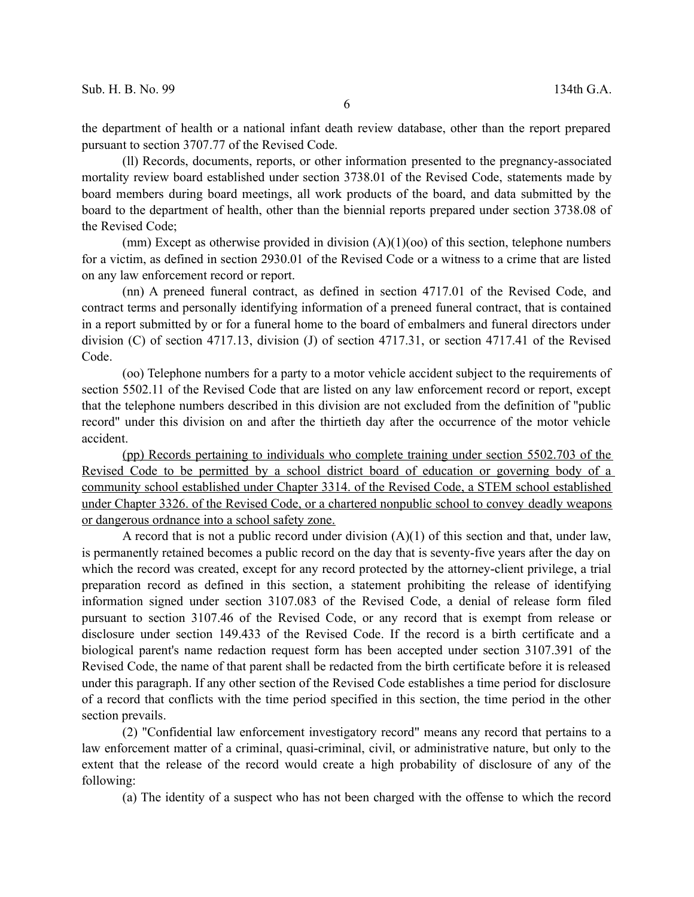the department of health or a national infant death review database, other than the report prepared pursuant to section 3707.77 of the Revised Code.

(ll) Records, documents, reports, or other information presented to the pregnancy-associated mortality review board established under section 3738.01 of the Revised Code, statements made by board members during board meetings, all work products of the board, and data submitted by the board to the department of health, other than the biennial reports prepared under section 3738.08 of the Revised Code;

(mm) Except as otherwise provided in division  $(A)(1)(oo)$  of this section, telephone numbers for a victim, as defined in section 2930.01 of the Revised Code or a witness to a crime that are listed on any law enforcement record or report.

(nn) A preneed funeral contract, as defined in section 4717.01 of the Revised Code, and contract terms and personally identifying information of a preneed funeral contract, that is contained in a report submitted by or for a funeral home to the board of embalmers and funeral directors under division (C) of section 4717.13, division (J) of section 4717.31, or section 4717.41 of the Revised Code.

(oo) Telephone numbers for a party to a motor vehicle accident subject to the requirements of section 5502.11 of the Revised Code that are listed on any law enforcement record or report, except that the telephone numbers described in this division are not excluded from the definition of "public record" under this division on and after the thirtieth day after the occurrence of the motor vehicle accident.

(pp) Records pertaining to individuals who complete training under section 5502.703 of the Revised Code to be permitted by a school district board of education or governing body of a community school established under Chapter 3314. of the Revised Code, a STEM school established under Chapter 3326. of the Revised Code, or a chartered nonpublic school to convey deadly weapons or dangerous ordnance into a school safety zone.

A record that is not a public record under division (A)(1) of this section and that, under law, is permanently retained becomes a public record on the day that is seventy-five years after the day on which the record was created, except for any record protected by the attorney-client privilege, a trial preparation record as defined in this section, a statement prohibiting the release of identifying information signed under section 3107.083 of the Revised Code, a denial of release form filed pursuant to section 3107.46 of the Revised Code, or any record that is exempt from release or disclosure under section 149.433 of the Revised Code. If the record is a birth certificate and a biological parent's name redaction request form has been accepted under section 3107.391 of the Revised Code, the name of that parent shall be redacted from the birth certificate before it is released under this paragraph. If any other section of the Revised Code establishes a time period for disclosure of a record that conflicts with the time period specified in this section, the time period in the other section prevails.

(2) "Confidential law enforcement investigatory record" means any record that pertains to a law enforcement matter of a criminal, quasi-criminal, civil, or administrative nature, but only to the extent that the release of the record would create a high probability of disclosure of any of the following:

(a) The identity of a suspect who has not been charged with the offense to which the record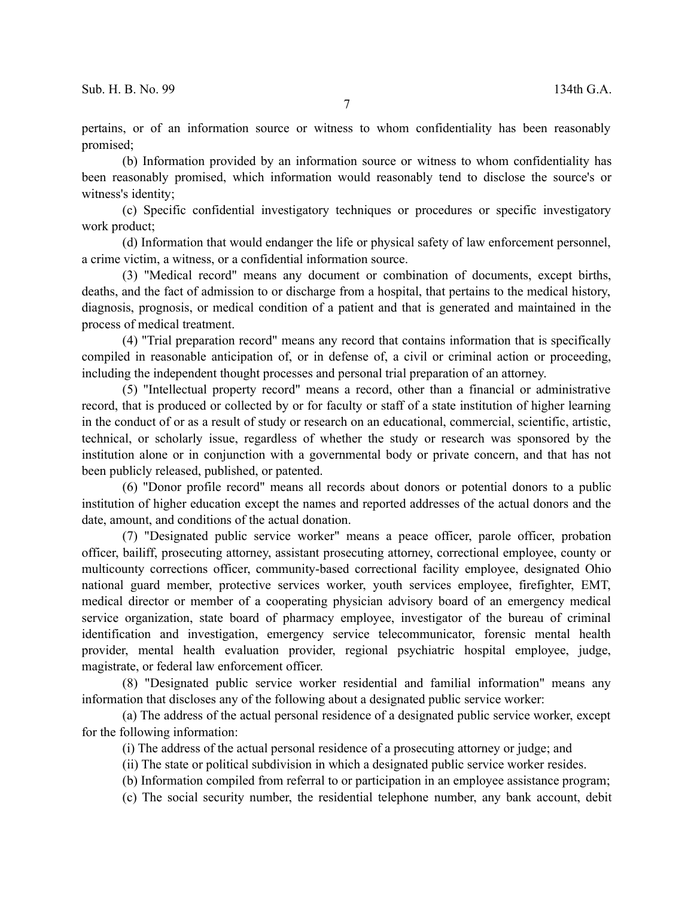pertains, or of an information source or witness to whom confidentiality has been reasonably promised;

(b) Information provided by an information source or witness to whom confidentiality has been reasonably promised, which information would reasonably tend to disclose the source's or witness's identity;

(c) Specific confidential investigatory techniques or procedures or specific investigatory work product;

(d) Information that would endanger the life or physical safety of law enforcement personnel, a crime victim, a witness, or a confidential information source.

(3) "Medical record" means any document or combination of documents, except births, deaths, and the fact of admission to or discharge from a hospital, that pertains to the medical history, diagnosis, prognosis, or medical condition of a patient and that is generated and maintained in the process of medical treatment.

(4) "Trial preparation record" means any record that contains information that is specifically compiled in reasonable anticipation of, or in defense of, a civil or criminal action or proceeding, including the independent thought processes and personal trial preparation of an attorney.

(5) "Intellectual property record" means a record, other than a financial or administrative record, that is produced or collected by or for faculty or staff of a state institution of higher learning in the conduct of or as a result of study or research on an educational, commercial, scientific, artistic, technical, or scholarly issue, regardless of whether the study or research was sponsored by the institution alone or in conjunction with a governmental body or private concern, and that has not been publicly released, published, or patented.

(6) "Donor profile record" means all records about donors or potential donors to a public institution of higher education except the names and reported addresses of the actual donors and the date, amount, and conditions of the actual donation.

(7) "Designated public service worker" means a peace officer, parole officer, probation officer, bailiff, prosecuting attorney, assistant prosecuting attorney, correctional employee, county or multicounty corrections officer, community-based correctional facility employee, designated Ohio national guard member, protective services worker, youth services employee, firefighter, EMT, medical director or member of a cooperating physician advisory board of an emergency medical service organization, state board of pharmacy employee, investigator of the bureau of criminal identification and investigation, emergency service telecommunicator, forensic mental health provider, mental health evaluation provider, regional psychiatric hospital employee, judge, magistrate, or federal law enforcement officer.

(8) "Designated public service worker residential and familial information" means any information that discloses any of the following about a designated public service worker:

(a) The address of the actual personal residence of a designated public service worker, except for the following information:

(i) The address of the actual personal residence of a prosecuting attorney or judge; and

(ii) The state or political subdivision in which a designated public service worker resides.

(b) Information compiled from referral to or participation in an employee assistance program;

(c) The social security number, the residential telephone number, any bank account, debit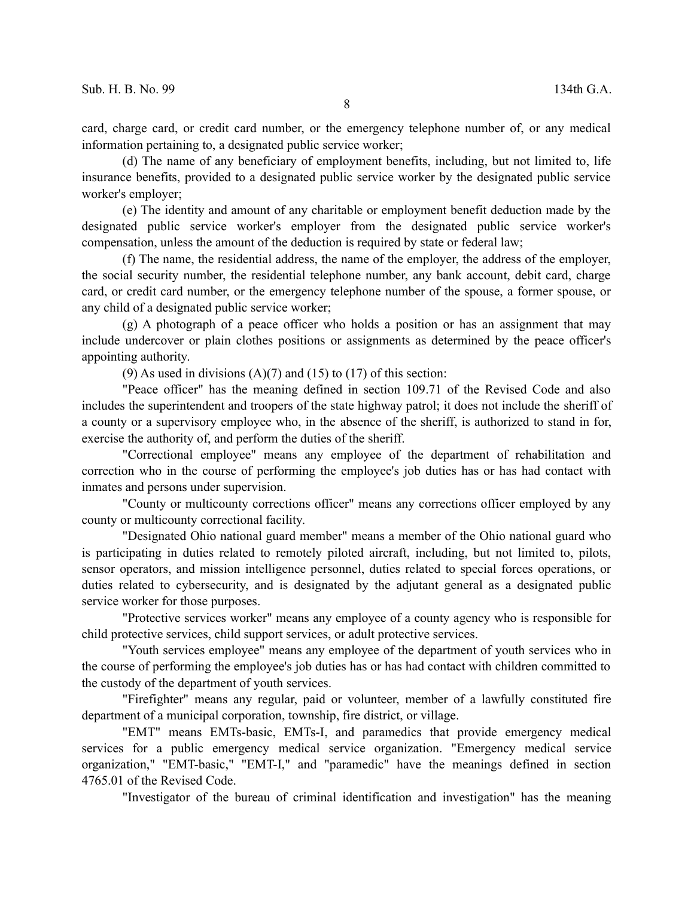card, charge card, or credit card number, or the emergency telephone number of, or any medical information pertaining to, a designated public service worker;

(d) The name of any beneficiary of employment benefits, including, but not limited to, life insurance benefits, provided to a designated public service worker by the designated public service worker's employer;

(e) The identity and amount of any charitable or employment benefit deduction made by the designated public service worker's employer from the designated public service worker's compensation, unless the amount of the deduction is required by state or federal law;

(f) The name, the residential address, the name of the employer, the address of the employer, the social security number, the residential telephone number, any bank account, debit card, charge card, or credit card number, or the emergency telephone number of the spouse, a former spouse, or any child of a designated public service worker;

(g) A photograph of a peace officer who holds a position or has an assignment that may include undercover or plain clothes positions or assignments as determined by the peace officer's appointing authority.

(9) As used in divisions  $(A)(7)$  and  $(15)$  to  $(17)$  of this section:

"Peace officer" has the meaning defined in section 109.71 of the Revised Code and also includes the superintendent and troopers of the state highway patrol; it does not include the sheriff of a county or a supervisory employee who, in the absence of the sheriff, is authorized to stand in for, exercise the authority of, and perform the duties of the sheriff.

"Correctional employee" means any employee of the department of rehabilitation and correction who in the course of performing the employee's job duties has or has had contact with inmates and persons under supervision.

"County or multicounty corrections officer" means any corrections officer employed by any county or multicounty correctional facility.

"Designated Ohio national guard member" means a member of the Ohio national guard who is participating in duties related to remotely piloted aircraft, including, but not limited to, pilots, sensor operators, and mission intelligence personnel, duties related to special forces operations, or duties related to cybersecurity, and is designated by the adjutant general as a designated public service worker for those purposes.

"Protective services worker" means any employee of a county agency who is responsible for child protective services, child support services, or adult protective services.

"Youth services employee" means any employee of the department of youth services who in the course of performing the employee's job duties has or has had contact with children committed to the custody of the department of youth services.

"Firefighter" means any regular, paid or volunteer, member of a lawfully constituted fire department of a municipal corporation, township, fire district, or village.

"EMT" means EMTs-basic, EMTs-I, and paramedics that provide emergency medical services for a public emergency medical service organization. "Emergency medical service organization," "EMT-basic," "EMT-I," and "paramedic" have the meanings defined in section 4765.01 of the Revised Code.

"Investigator of the bureau of criminal identification and investigation" has the meaning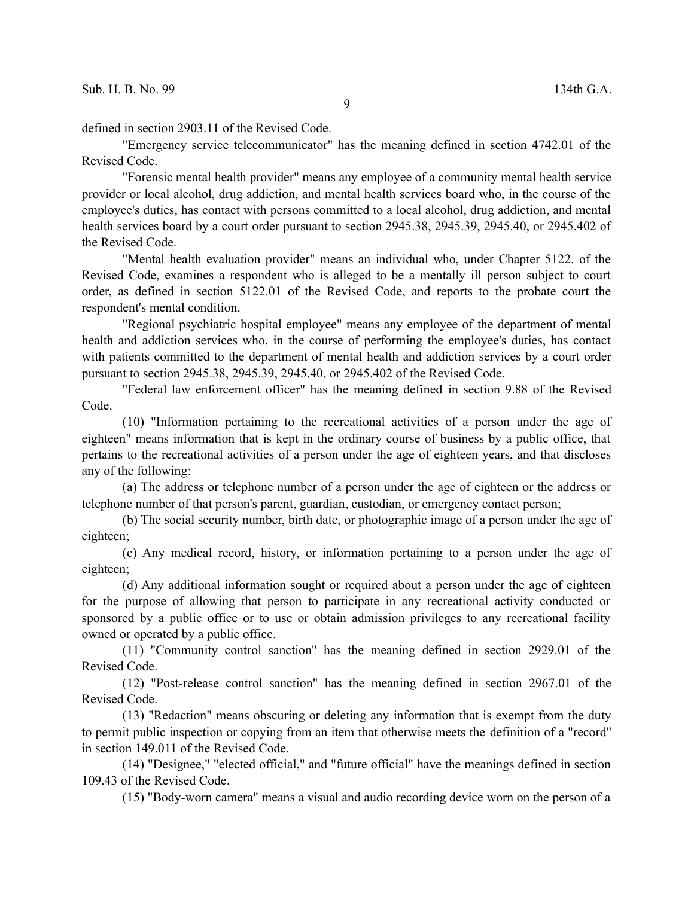defined in section 2903.11 of the Revised Code.

"Emergency service telecommunicator" has the meaning defined in section 4742.01 of the Revised Code.

"Forensic mental health provider" means any employee of a community mental health service provider or local alcohol, drug addiction, and mental health services board who, in the course of the employee's duties, has contact with persons committed to a local alcohol, drug addiction, and mental health services board by a court order pursuant to section 2945.38, 2945.39, 2945.40, or 2945.402 of the Revised Code.

"Mental health evaluation provider" means an individual who, under Chapter 5122. of the Revised Code, examines a respondent who is alleged to be a mentally ill person subject to court order, as defined in section 5122.01 of the Revised Code, and reports to the probate court the respondent's mental condition.

"Regional psychiatric hospital employee" means any employee of the department of mental health and addiction services who, in the course of performing the employee's duties, has contact with patients committed to the department of mental health and addiction services by a court order pursuant to section 2945.38, 2945.39, 2945.40, or 2945.402 of the Revised Code.

"Federal law enforcement officer" has the meaning defined in section 9.88 of the Revised Code.

(10) "Information pertaining to the recreational activities of a person under the age of eighteen" means information that is kept in the ordinary course of business by a public office, that pertains to the recreational activities of a person under the age of eighteen years, and that discloses any of the following:

(a) The address or telephone number of a person under the age of eighteen or the address or telephone number of that person's parent, guardian, custodian, or emergency contact person;

(b) The social security number, birth date, or photographic image of a person under the age of eighteen;

(c) Any medical record, history, or information pertaining to a person under the age of eighteen;

(d) Any additional information sought or required about a person under the age of eighteen for the purpose of allowing that person to participate in any recreational activity conducted or sponsored by a public office or to use or obtain admission privileges to any recreational facility owned or operated by a public office.

(11) "Community control sanction" has the meaning defined in section 2929.01 of the Revised Code.

(12) "Post-release control sanction" has the meaning defined in section 2967.01 of the Revised Code.

(13) "Redaction" means obscuring or deleting any information that is exempt from the duty to permit public inspection or copying from an item that otherwise meets the definition of a "record" in section 149.011 of the Revised Code.

(14) "Designee," "elected official," and "future official" have the meanings defined in section 109.43 of the Revised Code.

(15) "Body-worn camera" means a visual and audio recording device worn on the person of a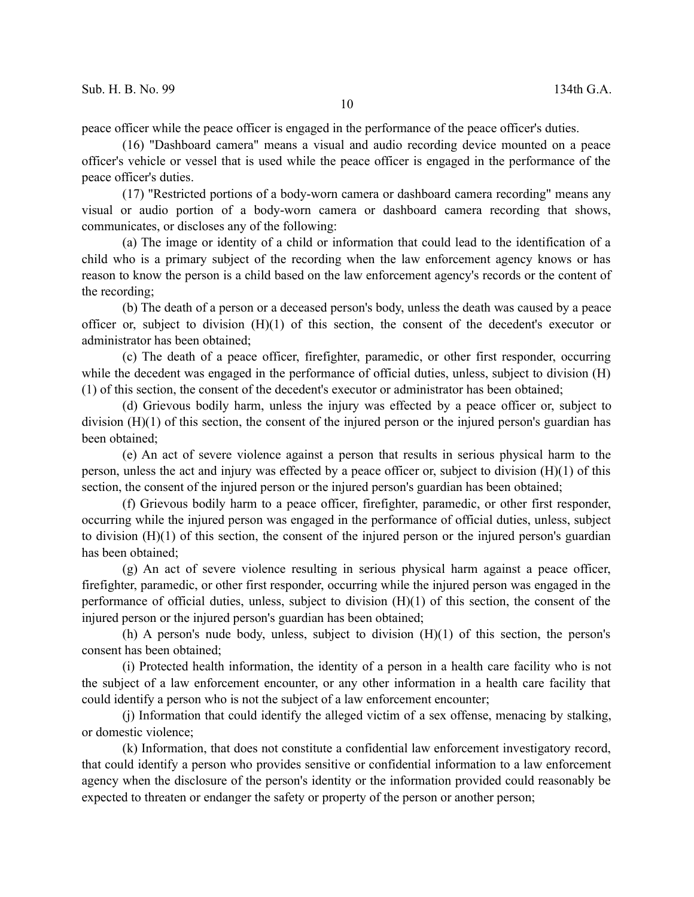peace officer while the peace officer is engaged in the performance of the peace officer's duties.

(16) "Dashboard camera" means a visual and audio recording device mounted on a peace officer's vehicle or vessel that is used while the peace officer is engaged in the performance of the peace officer's duties.

(17) "Restricted portions of a body-worn camera or dashboard camera recording" means any visual or audio portion of a body-worn camera or dashboard camera recording that shows, communicates, or discloses any of the following:

(a) The image or identity of a child or information that could lead to the identification of a child who is a primary subject of the recording when the law enforcement agency knows or has reason to know the person is a child based on the law enforcement agency's records or the content of the recording;

(b) The death of a person or a deceased person's body, unless the death was caused by a peace officer or, subject to division (H)(1) of this section, the consent of the decedent's executor or administrator has been obtained;

(c) The death of a peace officer, firefighter, paramedic, or other first responder, occurring while the decedent was engaged in the performance of official duties, unless, subject to division (H) (1) of this section, the consent of the decedent's executor or administrator has been obtained;

(d) Grievous bodily harm, unless the injury was effected by a peace officer or, subject to division (H)(1) of this section, the consent of the injured person or the injured person's guardian has been obtained;

(e) An act of severe violence against a person that results in serious physical harm to the person, unless the act and injury was effected by a peace officer or, subject to division (H)(1) of this section, the consent of the injured person or the injured person's guardian has been obtained;

(f) Grievous bodily harm to a peace officer, firefighter, paramedic, or other first responder, occurring while the injured person was engaged in the performance of official duties, unless, subject to division (H)(1) of this section, the consent of the injured person or the injured person's guardian has been obtained;

(g) An act of severe violence resulting in serious physical harm against a peace officer, firefighter, paramedic, or other first responder, occurring while the injured person was engaged in the performance of official duties, unless, subject to division (H)(1) of this section, the consent of the injured person or the injured person's guardian has been obtained;

(h) A person's nude body, unless, subject to division (H)(1) of this section, the person's consent has been obtained;

(i) Protected health information, the identity of a person in a health care facility who is not the subject of a law enforcement encounter, or any other information in a health care facility that could identify a person who is not the subject of a law enforcement encounter;

(j) Information that could identify the alleged victim of a sex offense, menacing by stalking, or domestic violence;

(k) Information, that does not constitute a confidential law enforcement investigatory record, that could identify a person who provides sensitive or confidential information to a law enforcement agency when the disclosure of the person's identity or the information provided could reasonably be expected to threaten or endanger the safety or property of the person or another person;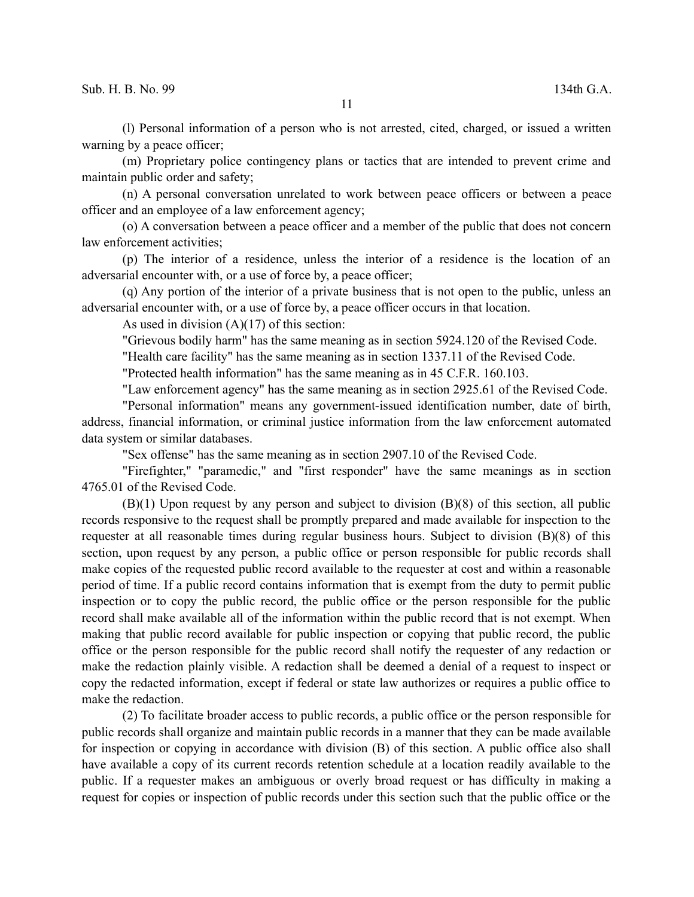(l) Personal information of a person who is not arrested, cited, charged, or issued a written warning by a peace officer;

(m) Proprietary police contingency plans or tactics that are intended to prevent crime and maintain public order and safety;

(n) A personal conversation unrelated to work between peace officers or between a peace officer and an employee of a law enforcement agency;

(o) A conversation between a peace officer and a member of the public that does not concern law enforcement activities;

(p) The interior of a residence, unless the interior of a residence is the location of an adversarial encounter with, or a use of force by, a peace officer;

(q) Any portion of the interior of a private business that is not open to the public, unless an adversarial encounter with, or a use of force by, a peace officer occurs in that location.

As used in division  $(A)(17)$  of this section:

"Grievous bodily harm" has the same meaning as in section 5924.120 of the Revised Code.

"Health care facility" has the same meaning as in section 1337.11 of the Revised Code.

"Protected health information" has the same meaning as in 45 C.F.R. 160.103.

"Law enforcement agency" has the same meaning as in section 2925.61 of the Revised Code.

"Personal information" means any government-issued identification number, date of birth, address, financial information, or criminal justice information from the law enforcement automated data system or similar databases.

"Sex offense" has the same meaning as in section 2907.10 of the Revised Code.

"Firefighter," "paramedic," and "first responder" have the same meanings as in section 4765.01 of the Revised Code.

(B)(1) Upon request by any person and subject to division (B)(8) of this section, all public records responsive to the request shall be promptly prepared and made available for inspection to the requester at all reasonable times during regular business hours. Subject to division (B)(8) of this section, upon request by any person, a public office or person responsible for public records shall make copies of the requested public record available to the requester at cost and within a reasonable period of time. If a public record contains information that is exempt from the duty to permit public inspection or to copy the public record, the public office or the person responsible for the public record shall make available all of the information within the public record that is not exempt. When making that public record available for public inspection or copying that public record, the public office or the person responsible for the public record shall notify the requester of any redaction or make the redaction plainly visible. A redaction shall be deemed a denial of a request to inspect or copy the redacted information, except if federal or state law authorizes or requires a public office to make the redaction.

(2) To facilitate broader access to public records, a public office or the person responsible for public records shall organize and maintain public records in a manner that they can be made available for inspection or copying in accordance with division (B) of this section. A public office also shall have available a copy of its current records retention schedule at a location readily available to the public. If a requester makes an ambiguous or overly broad request or has difficulty in making a request for copies or inspection of public records under this section such that the public office or the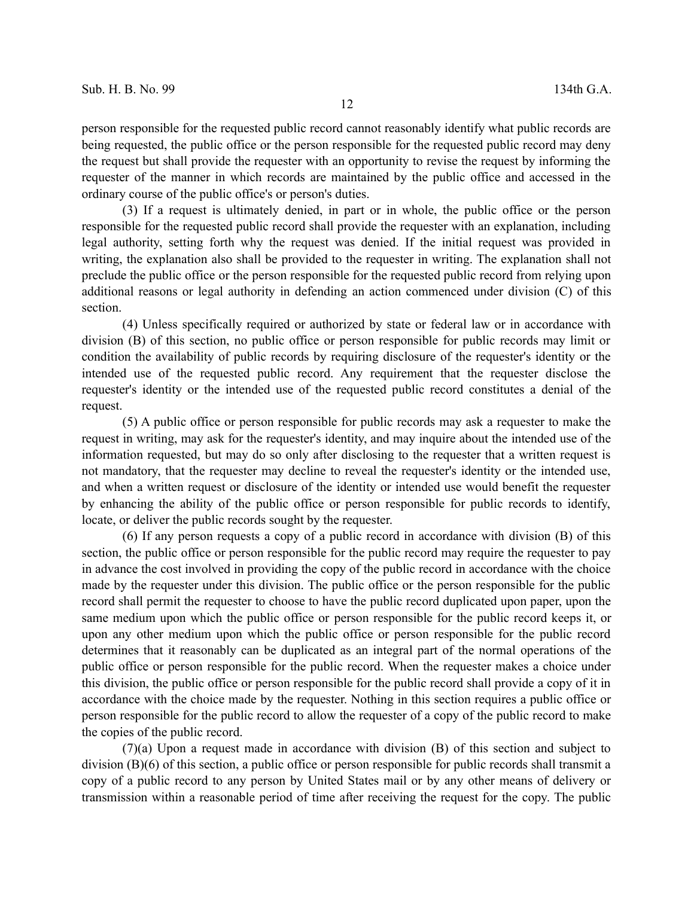person responsible for the requested public record cannot reasonably identify what public records are being requested, the public office or the person responsible for the requested public record may deny the request but shall provide the requester with an opportunity to revise the request by informing the requester of the manner in which records are maintained by the public office and accessed in the ordinary course of the public office's or person's duties.

(3) If a request is ultimately denied, in part or in whole, the public office or the person responsible for the requested public record shall provide the requester with an explanation, including legal authority, setting forth why the request was denied. If the initial request was provided in writing, the explanation also shall be provided to the requester in writing. The explanation shall not preclude the public office or the person responsible for the requested public record from relying upon additional reasons or legal authority in defending an action commenced under division (C) of this section.

(4) Unless specifically required or authorized by state or federal law or in accordance with division (B) of this section, no public office or person responsible for public records may limit or condition the availability of public records by requiring disclosure of the requester's identity or the intended use of the requested public record. Any requirement that the requester disclose the requester's identity or the intended use of the requested public record constitutes a denial of the request.

(5) A public office or person responsible for public records may ask a requester to make the request in writing, may ask for the requester's identity, and may inquire about the intended use of the information requested, but may do so only after disclosing to the requester that a written request is not mandatory, that the requester may decline to reveal the requester's identity or the intended use, and when a written request or disclosure of the identity or intended use would benefit the requester by enhancing the ability of the public office or person responsible for public records to identify, locate, or deliver the public records sought by the requester.

(6) If any person requests a copy of a public record in accordance with division (B) of this section, the public office or person responsible for the public record may require the requester to pay in advance the cost involved in providing the copy of the public record in accordance with the choice made by the requester under this division. The public office or the person responsible for the public record shall permit the requester to choose to have the public record duplicated upon paper, upon the same medium upon which the public office or person responsible for the public record keeps it, or upon any other medium upon which the public office or person responsible for the public record determines that it reasonably can be duplicated as an integral part of the normal operations of the public office or person responsible for the public record. When the requester makes a choice under this division, the public office or person responsible for the public record shall provide a copy of it in accordance with the choice made by the requester. Nothing in this section requires a public office or person responsible for the public record to allow the requester of a copy of the public record to make the copies of the public record.

(7)(a) Upon a request made in accordance with division (B) of this section and subject to division (B)(6) of this section, a public office or person responsible for public records shall transmit a copy of a public record to any person by United States mail or by any other means of delivery or transmission within a reasonable period of time after receiving the request for the copy. The public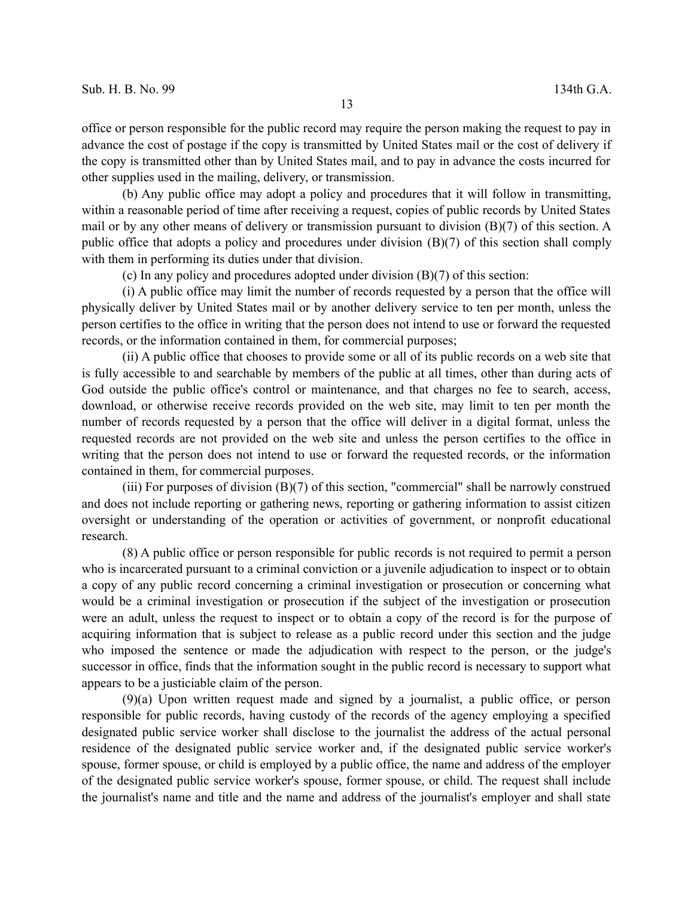office or person responsible for the public record may require the person making the request to pay in advance the cost of postage if the copy is transmitted by United States mail or the cost of delivery if the copy is transmitted other than by United States mail, and to pay in advance the costs incurred for other supplies used in the mailing, delivery, or transmission.

(b) Any public office may adopt a policy and procedures that it will follow in transmitting, within a reasonable period of time after receiving a request, copies of public records by United States mail or by any other means of delivery or transmission pursuant to division (B)(7) of this section. A public office that adopts a policy and procedures under division (B)(7) of this section shall comply with them in performing its duties under that division.

(c) In any policy and procedures adopted under division (B)(7) of this section:

(i) A public office may limit the number of records requested by a person that the office will physically deliver by United States mail or by another delivery service to ten per month, unless the person certifies to the office in writing that the person does not intend to use or forward the requested records, or the information contained in them, for commercial purposes;

(ii) A public office that chooses to provide some or all of its public records on a web site that is fully accessible to and searchable by members of the public at all times, other than during acts of God outside the public office's control or maintenance, and that charges no fee to search, access, download, or otherwise receive records provided on the web site, may limit to ten per month the number of records requested by a person that the office will deliver in a digital format, unless the requested records are not provided on the web site and unless the person certifies to the office in writing that the person does not intend to use or forward the requested records, or the information contained in them, for commercial purposes.

(iii) For purposes of division (B)(7) of this section, "commercial" shall be narrowly construed and does not include reporting or gathering news, reporting or gathering information to assist citizen oversight or understanding of the operation or activities of government, or nonprofit educational research.

(8) A public office or person responsible for public records is not required to permit a person who is incarcerated pursuant to a criminal conviction or a juvenile adjudication to inspect or to obtain a copy of any public record concerning a criminal investigation or prosecution or concerning what would be a criminal investigation or prosecution if the subject of the investigation or prosecution were an adult, unless the request to inspect or to obtain a copy of the record is for the purpose of acquiring information that is subject to release as a public record under this section and the judge who imposed the sentence or made the adjudication with respect to the person, or the judge's successor in office, finds that the information sought in the public record is necessary to support what appears to be a justiciable claim of the person.

(9)(a) Upon written request made and signed by a journalist, a public office, or person responsible for public records, having custody of the records of the agency employing a specified designated public service worker shall disclose to the journalist the address of the actual personal residence of the designated public service worker and, if the designated public service worker's spouse, former spouse, or child is employed by a public office, the name and address of the employer of the designated public service worker's spouse, former spouse, or child. The request shall include the journalist's name and title and the name and address of the journalist's employer and shall state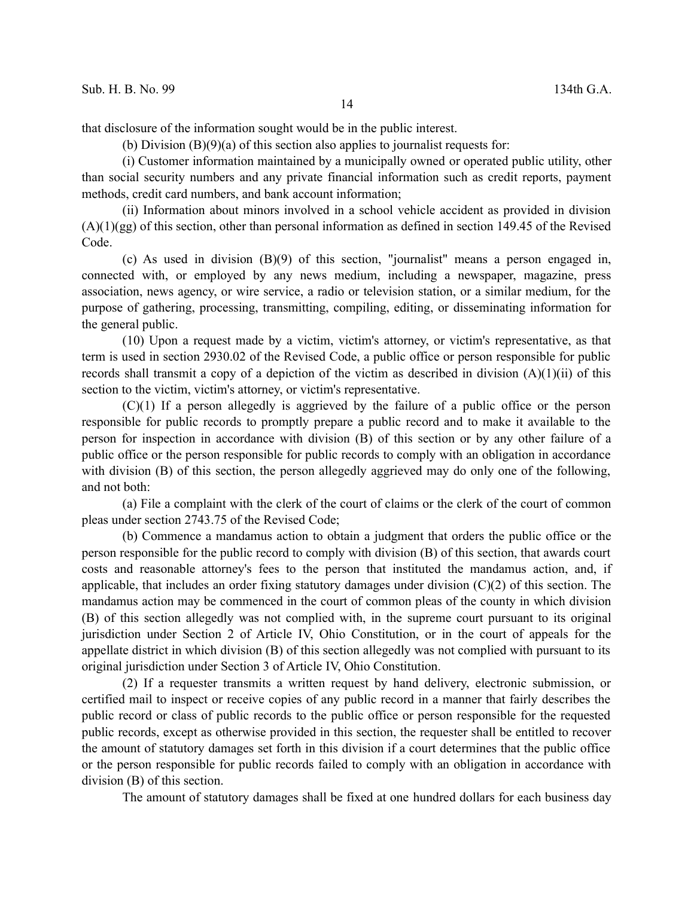that disclosure of the information sought would be in the public interest.

(b) Division (B)(9)(a) of this section also applies to journalist requests for:

(i) Customer information maintained by a municipally owned or operated public utility, other than social security numbers and any private financial information such as credit reports, payment methods, credit card numbers, and bank account information;

(ii) Information about minors involved in a school vehicle accident as provided in division  $(A)(1)(gg)$  of this section, other than personal information as defined in section 149.45 of the Revised Code.

(c) As used in division (B)(9) of this section, "journalist" means a person engaged in, connected with, or employed by any news medium, including a newspaper, magazine, press association, news agency, or wire service, a radio or television station, or a similar medium, for the purpose of gathering, processing, transmitting, compiling, editing, or disseminating information for the general public.

(10) Upon a request made by a victim, victim's attorney, or victim's representative, as that term is used in section 2930.02 of the Revised Code, a public office or person responsible for public records shall transmit a copy of a depiction of the victim as described in division (A)(1)(ii) of this section to the victim, victim's attorney, or victim's representative.

(C)(1) If a person allegedly is aggrieved by the failure of a public office or the person responsible for public records to promptly prepare a public record and to make it available to the person for inspection in accordance with division (B) of this section or by any other failure of a public office or the person responsible for public records to comply with an obligation in accordance with division (B) of this section, the person allegedly aggrieved may do only one of the following, and not both:

(a) File a complaint with the clerk of the court of claims or the clerk of the court of common pleas under section 2743.75 of the Revised Code;

(b) Commence a mandamus action to obtain a judgment that orders the public office or the person responsible for the public record to comply with division (B) of this section, that awards court costs and reasonable attorney's fees to the person that instituted the mandamus action, and, if applicable, that includes an order fixing statutory damages under division (C)(2) of this section. The mandamus action may be commenced in the court of common pleas of the county in which division (B) of this section allegedly was not complied with, in the supreme court pursuant to its original jurisdiction under Section 2 of Article IV, Ohio Constitution, or in the court of appeals for the appellate district in which division (B) of this section allegedly was not complied with pursuant to its original jurisdiction under Section 3 of Article IV, Ohio Constitution.

(2) If a requester transmits a written request by hand delivery, electronic submission, or certified mail to inspect or receive copies of any public record in a manner that fairly describes the public record or class of public records to the public office or person responsible for the requested public records, except as otherwise provided in this section, the requester shall be entitled to recover the amount of statutory damages set forth in this division if a court determines that the public office or the person responsible for public records failed to comply with an obligation in accordance with division (B) of this section.

The amount of statutory damages shall be fixed at one hundred dollars for each business day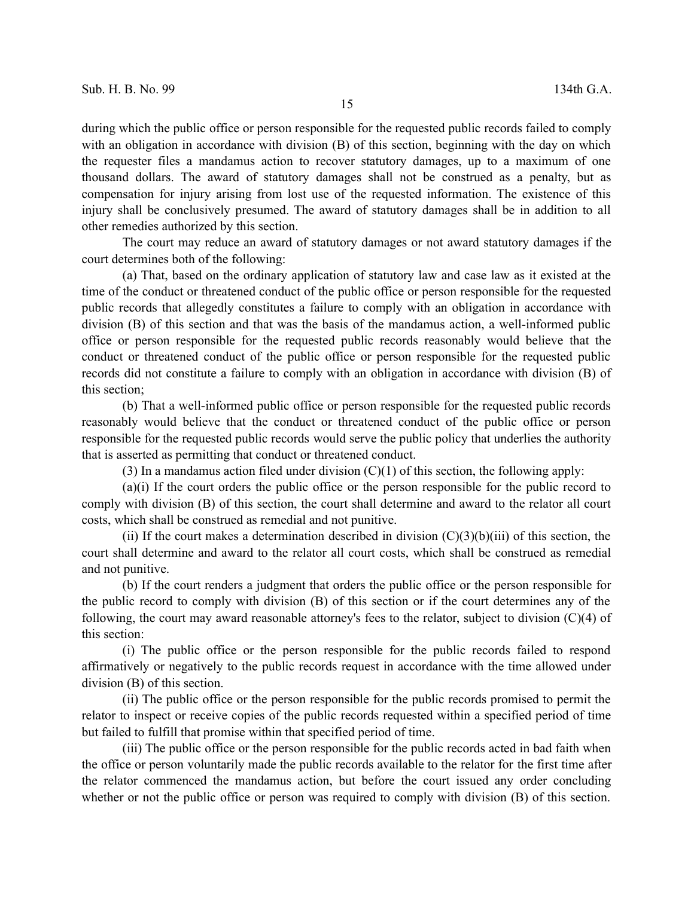during which the public office or person responsible for the requested public records failed to comply with an obligation in accordance with division (B) of this section, beginning with the day on which the requester files a mandamus action to recover statutory damages, up to a maximum of one thousand dollars. The award of statutory damages shall not be construed as a penalty, but as compensation for injury arising from lost use of the requested information. The existence of this injury shall be conclusively presumed. The award of statutory damages shall be in addition to all other remedies authorized by this section.

The court may reduce an award of statutory damages or not award statutory damages if the court determines both of the following:

(a) That, based on the ordinary application of statutory law and case law as it existed at the time of the conduct or threatened conduct of the public office or person responsible for the requested public records that allegedly constitutes a failure to comply with an obligation in accordance with division (B) of this section and that was the basis of the mandamus action, a well-informed public office or person responsible for the requested public records reasonably would believe that the conduct or threatened conduct of the public office or person responsible for the requested public records did not constitute a failure to comply with an obligation in accordance with division (B) of this section;

(b) That a well-informed public office or person responsible for the requested public records reasonably would believe that the conduct or threatened conduct of the public office or person responsible for the requested public records would serve the public policy that underlies the authority that is asserted as permitting that conduct or threatened conduct.

(3) In a mandamus action filed under division  $(C)(1)$  of this section, the following apply:

(a)(i) If the court orders the public office or the person responsible for the public record to comply with division (B) of this section, the court shall determine and award to the relator all court costs, which shall be construed as remedial and not punitive.

(ii) If the court makes a determination described in division  $(C)(3)(b)(iii)$  of this section, the court shall determine and award to the relator all court costs, which shall be construed as remedial and not punitive.

(b) If the court renders a judgment that orders the public office or the person responsible for the public record to comply with division (B) of this section or if the court determines any of the following, the court may award reasonable attorney's fees to the relator, subject to division (C)(4) of this section:

(i) The public office or the person responsible for the public records failed to respond affirmatively or negatively to the public records request in accordance with the time allowed under division (B) of this section.

(ii) The public office or the person responsible for the public records promised to permit the relator to inspect or receive copies of the public records requested within a specified period of time but failed to fulfill that promise within that specified period of time.

(iii) The public office or the person responsible for the public records acted in bad faith when the office or person voluntarily made the public records available to the relator for the first time after the relator commenced the mandamus action, but before the court issued any order concluding whether or not the public office or person was required to comply with division (B) of this section.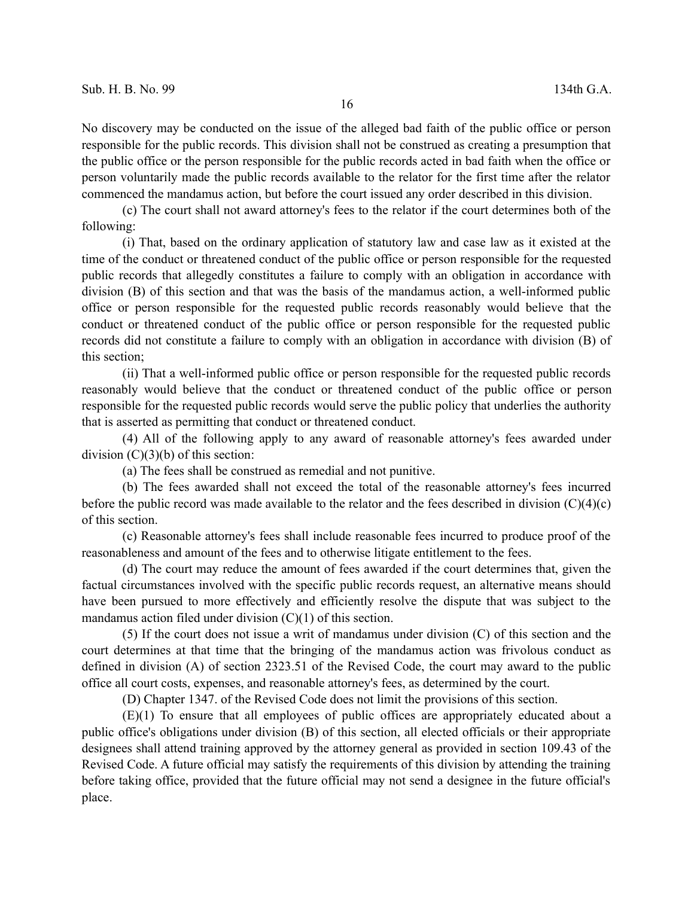No discovery may be conducted on the issue of the alleged bad faith of the public office or person responsible for the public records. This division shall not be construed as creating a presumption that the public office or the person responsible for the public records acted in bad faith when the office or person voluntarily made the public records available to the relator for the first time after the relator commenced the mandamus action, but before the court issued any order described in this division.

(c) The court shall not award attorney's fees to the relator if the court determines both of the following:

(i) That, based on the ordinary application of statutory law and case law as it existed at the time of the conduct or threatened conduct of the public office or person responsible for the requested public records that allegedly constitutes a failure to comply with an obligation in accordance with division (B) of this section and that was the basis of the mandamus action, a well-informed public office or person responsible for the requested public records reasonably would believe that the conduct or threatened conduct of the public office or person responsible for the requested public records did not constitute a failure to comply with an obligation in accordance with division (B) of this section;

(ii) That a well-informed public office or person responsible for the requested public records reasonably would believe that the conduct or threatened conduct of the public office or person responsible for the requested public records would serve the public policy that underlies the authority that is asserted as permitting that conduct or threatened conduct.

(4) All of the following apply to any award of reasonable attorney's fees awarded under division  $(C)(3)(b)$  of this section:

(a) The fees shall be construed as remedial and not punitive.

(b) The fees awarded shall not exceed the total of the reasonable attorney's fees incurred before the public record was made available to the relator and the fees described in division  $(C)(4)(c)$ of this section.

(c) Reasonable attorney's fees shall include reasonable fees incurred to produce proof of the reasonableness and amount of the fees and to otherwise litigate entitlement to the fees.

(d) The court may reduce the amount of fees awarded if the court determines that, given the factual circumstances involved with the specific public records request, an alternative means should have been pursued to more effectively and efficiently resolve the dispute that was subject to the mandamus action filed under division (C)(1) of this section.

(5) If the court does not issue a writ of mandamus under division (C) of this section and the court determines at that time that the bringing of the mandamus action was frivolous conduct as defined in division (A) of section 2323.51 of the Revised Code, the court may award to the public office all court costs, expenses, and reasonable attorney's fees, as determined by the court.

(D) Chapter 1347. of the Revised Code does not limit the provisions of this section.

(E)(1) To ensure that all employees of public offices are appropriately educated about a public office's obligations under division (B) of this section, all elected officials or their appropriate designees shall attend training approved by the attorney general as provided in section 109.43 of the Revised Code. A future official may satisfy the requirements of this division by attending the training before taking office, provided that the future official may not send a designee in the future official's place.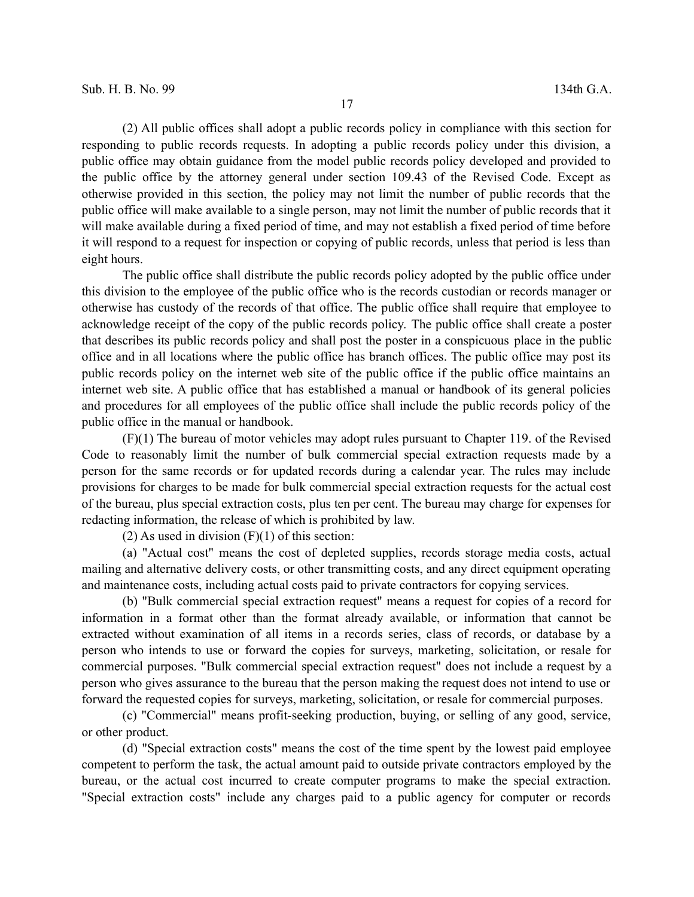(2) All public offices shall adopt a public records policy in compliance with this section for responding to public records requests. In adopting a public records policy under this division, a public office may obtain guidance from the model public records policy developed and provided to the public office by the attorney general under section 109.43 of the Revised Code. Except as otherwise provided in this section, the policy may not limit the number of public records that the public office will make available to a single person, may not limit the number of public records that it will make available during a fixed period of time, and may not establish a fixed period of time before it will respond to a request for inspection or copying of public records, unless that period is less than eight hours.

The public office shall distribute the public records policy adopted by the public office under this division to the employee of the public office who is the records custodian or records manager or otherwise has custody of the records of that office. The public office shall require that employee to acknowledge receipt of the copy of the public records policy. The public office shall create a poster that describes its public records policy and shall post the poster in a conspicuous place in the public office and in all locations where the public office has branch offices. The public office may post its public records policy on the internet web site of the public office if the public office maintains an internet web site. A public office that has established a manual or handbook of its general policies and procedures for all employees of the public office shall include the public records policy of the public office in the manual or handbook.

(F)(1) The bureau of motor vehicles may adopt rules pursuant to Chapter 119. of the Revised Code to reasonably limit the number of bulk commercial special extraction requests made by a person for the same records or for updated records during a calendar year. The rules may include provisions for charges to be made for bulk commercial special extraction requests for the actual cost of the bureau, plus special extraction costs, plus ten per cent. The bureau may charge for expenses for redacting information, the release of which is prohibited by law.

(2) As used in division  $(F)(1)$  of this section:

(a) "Actual cost" means the cost of depleted supplies, records storage media costs, actual mailing and alternative delivery costs, or other transmitting costs, and any direct equipment operating and maintenance costs, including actual costs paid to private contractors for copying services.

(b) "Bulk commercial special extraction request" means a request for copies of a record for information in a format other than the format already available, or information that cannot be extracted without examination of all items in a records series, class of records, or database by a person who intends to use or forward the copies for surveys, marketing, solicitation, or resale for commercial purposes. "Bulk commercial special extraction request" does not include a request by a person who gives assurance to the bureau that the person making the request does not intend to use or forward the requested copies for surveys, marketing, solicitation, or resale for commercial purposes.

(c) "Commercial" means profit-seeking production, buying, or selling of any good, service, or other product.

(d) "Special extraction costs" means the cost of the time spent by the lowest paid employee competent to perform the task, the actual amount paid to outside private contractors employed by the bureau, or the actual cost incurred to create computer programs to make the special extraction. "Special extraction costs" include any charges paid to a public agency for computer or records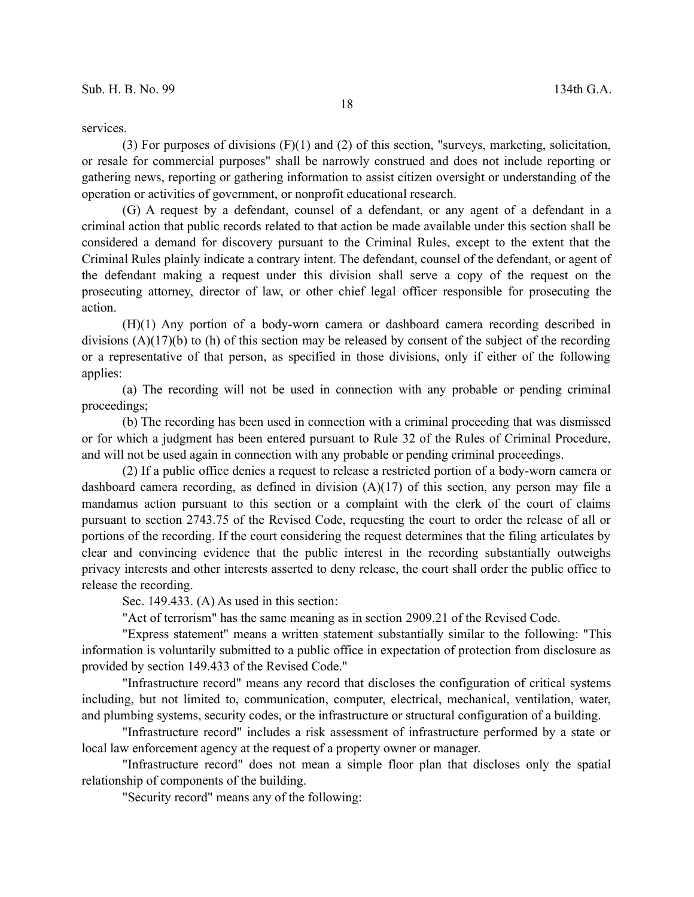## services.

(3) For purposes of divisions (F)(1) and (2) of this section, "surveys, marketing, solicitation, or resale for commercial purposes" shall be narrowly construed and does not include reporting or gathering news, reporting or gathering information to assist citizen oversight or understanding of the operation or activities of government, or nonprofit educational research.

(G) A request by a defendant, counsel of a defendant, or any agent of a defendant in a criminal action that public records related to that action be made available under this section shall be considered a demand for discovery pursuant to the Criminal Rules, except to the extent that the Criminal Rules plainly indicate a contrary intent. The defendant, counsel of the defendant, or agent of the defendant making a request under this division shall serve a copy of the request on the prosecuting attorney, director of law, or other chief legal officer responsible for prosecuting the action.

(H)(1) Any portion of a body-worn camera or dashboard camera recording described in divisions  $(A)(17)(b)$  to (h) of this section may be released by consent of the subject of the recording or a representative of that person, as specified in those divisions, only if either of the following applies:

(a) The recording will not be used in connection with any probable or pending criminal proceedings;

(b) The recording has been used in connection with a criminal proceeding that was dismissed or for which a judgment has been entered pursuant to Rule 32 of the Rules of Criminal Procedure, and will not be used again in connection with any probable or pending criminal proceedings.

(2) If a public office denies a request to release a restricted portion of a body-worn camera or dashboard camera recording, as defined in division  $(A)(17)$  of this section, any person may file a mandamus action pursuant to this section or a complaint with the clerk of the court of claims pursuant to section 2743.75 of the Revised Code, requesting the court to order the release of all or portions of the recording. If the court considering the request determines that the filing articulates by clear and convincing evidence that the public interest in the recording substantially outweighs privacy interests and other interests asserted to deny release, the court shall order the public office to release the recording.

Sec. 149.433. (A) As used in this section:

"Act of terrorism" has the same meaning as in section 2909.21 of the Revised Code.

"Express statement" means a written statement substantially similar to the following: "This information is voluntarily submitted to a public office in expectation of protection from disclosure as provided by section 149.433 of the Revised Code."

"Infrastructure record" means any record that discloses the configuration of critical systems including, but not limited to, communication, computer, electrical, mechanical, ventilation, water, and plumbing systems, security codes, or the infrastructure or structural configuration of a building.

"Infrastructure record" includes a risk assessment of infrastructure performed by a state or local law enforcement agency at the request of a property owner or manager.

"Infrastructure record" does not mean a simple floor plan that discloses only the spatial relationship of components of the building.

"Security record" means any of the following: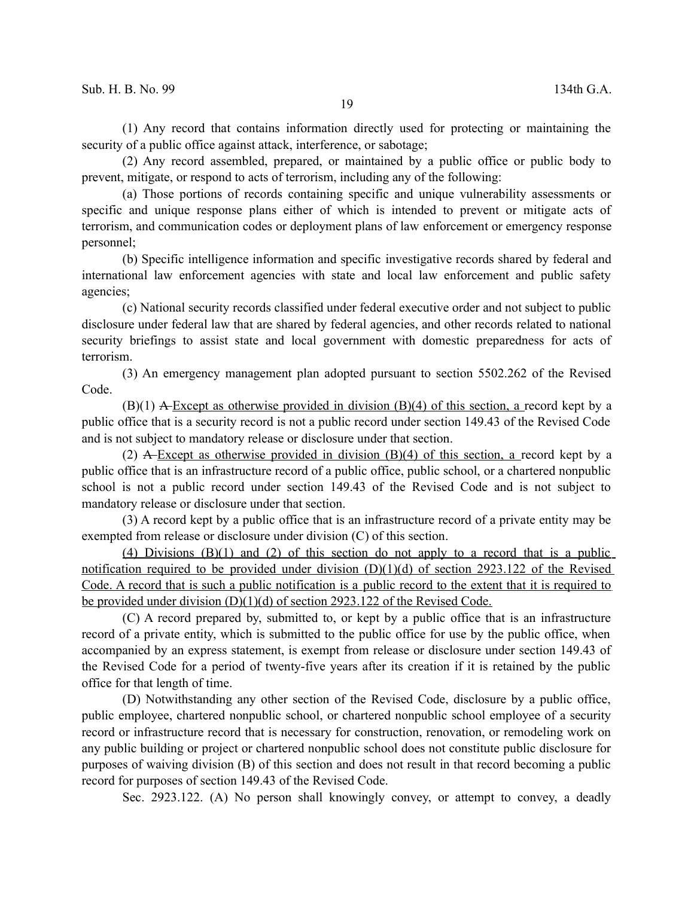(1) Any record that contains information directly used for protecting or maintaining the security of a public office against attack, interference, or sabotage;

(2) Any record assembled, prepared, or maintained by a public office or public body to prevent, mitigate, or respond to acts of terrorism, including any of the following:

(a) Those portions of records containing specific and unique vulnerability assessments or specific and unique response plans either of which is intended to prevent or mitigate acts of terrorism, and communication codes or deployment plans of law enforcement or emergency response personnel;

(b) Specific intelligence information and specific investigative records shared by federal and international law enforcement agencies with state and local law enforcement and public safety agencies;

(c) National security records classified under federal executive order and not subject to public disclosure under federal law that are shared by federal agencies, and other records related to national security briefings to assist state and local government with domestic preparedness for acts of terrorism.

(3) An emergency management plan adopted pursuant to section 5502.262 of the Revised Code.

 $(B)(1)$  A-Except as otherwise provided in division  $(B)(4)$  of this section, a record kept by a public office that is a security record is not a public record under section 149.43 of the Revised Code and is not subject to mandatory release or disclosure under that section.

(2)  $A$ -Except as otherwise provided in division (B)(4) of this section, a record kept by a public office that is an infrastructure record of a public office, public school, or a chartered nonpublic school is not a public record under section 149.43 of the Revised Code and is not subject to mandatory release or disclosure under that section.

(3) A record kept by a public office that is an infrastructure record of a private entity may be exempted from release or disclosure under division (C) of this section.

(4) Divisions (B)(1) and (2) of this section do not apply to a record that is a public notification required to be provided under division  $(D)(1)(d)$  of section 2923.122 of the Revised Code. A record that is such a public notification is a public record to the extent that it is required to be provided under division (D)(1)(d) of section 2923.122 of the Revised Code.

(C) A record prepared by, submitted to, or kept by a public office that is an infrastructure record of a private entity, which is submitted to the public office for use by the public office, when accompanied by an express statement, is exempt from release or disclosure under section 149.43 of the Revised Code for a period of twenty-five years after its creation if it is retained by the public office for that length of time.

(D) Notwithstanding any other section of the Revised Code, disclosure by a public office, public employee, chartered nonpublic school, or chartered nonpublic school employee of a security record or infrastructure record that is necessary for construction, renovation, or remodeling work on any public building or project or chartered nonpublic school does not constitute public disclosure for purposes of waiving division (B) of this section and does not result in that record becoming a public record for purposes of section 149.43 of the Revised Code.

Sec. 2923.122. (A) No person shall knowingly convey, or attempt to convey, a deadly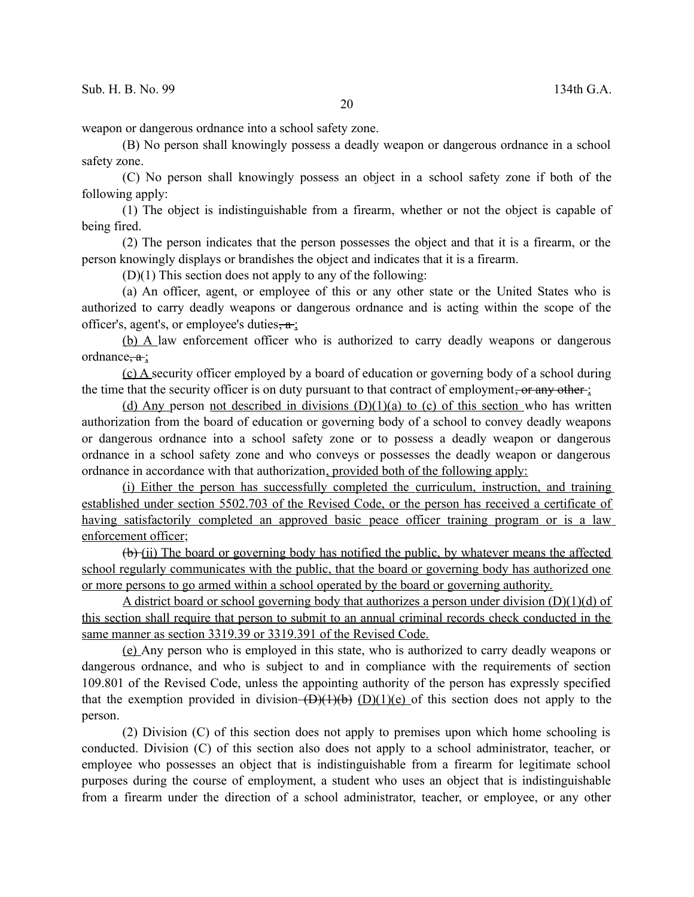weapon or dangerous ordnance into a school safety zone.

(B) No person shall knowingly possess a deadly weapon or dangerous ordnance in a school safety zone.

(C) No person shall knowingly possess an object in a school safety zone if both of the following apply:

(1) The object is indistinguishable from a firearm, whether or not the object is capable of being fired.

(2) The person indicates that the person possesses the object and that it is a firearm, or the person knowingly displays or brandishes the object and indicates that it is a firearm.

 $(D)(1)$  This section does not apply to any of the following:

(a) An officer, agent, or employee of this or any other state or the United States who is authorized to carry deadly weapons or dangerous ordnance and is acting within the scope of the officer's, agent's, or employee's duties,  $a_{\alpha}$ ;

(b) A law enforcement officer who is authorized to carry deadly weapons or dangerous ordnance, a:

(c) A security officer employed by a board of education or governing body of a school during the time that the security officer is on duty pursuant to that contract of employment<del>, or any other</del>;

(d) Any person not described in divisions  $(D)(1)(a)$  to (c) of this section who has written authorization from the board of education or governing body of a school to convey deadly weapons or dangerous ordnance into a school safety zone or to possess a deadly weapon or dangerous ordnance in a school safety zone and who conveys or possesses the deadly weapon or dangerous ordnance in accordance with that authorization, provided both of the following apply:

 (i) Either the person has successfully completed the curriculum, instruction, and training established under section 5502.703 of the Revised Code, or the person has received a certificate of having satisfactorily completed an approved basic peace officer training program or is a law enforcement officer;

(b) (ii) The board or governing body has notified the public, by whatever means the affected school regularly communicates with the public, that the board or governing body has authorized one or more persons to go armed within a school operated by the board or governing authority.

A district board or school governing body that authorizes a person under division  $(D)(1)(d)$  of this section shall require that person to submit to an annual criminal records check conducted in the same manner as section 3319.39 or 3319.391 of the Revised Code.

(e) Any person who is employed in this state, who is authorized to carry deadly weapons or dangerous ordnance, and who is subject to and in compliance with the requirements of section 109.801 of the Revised Code, unless the appointing authority of the person has expressly specified that the exemption provided in division  $(D)(1)(b)$   $(D)(1)(e)$  of this section does not apply to the person.

(2) Division (C) of this section does not apply to premises upon which home schooling is conducted. Division (C) of this section also does not apply to a school administrator, teacher, or employee who possesses an object that is indistinguishable from a firearm for legitimate school purposes during the course of employment, a student who uses an object that is indistinguishable from a firearm under the direction of a school administrator, teacher, or employee, or any other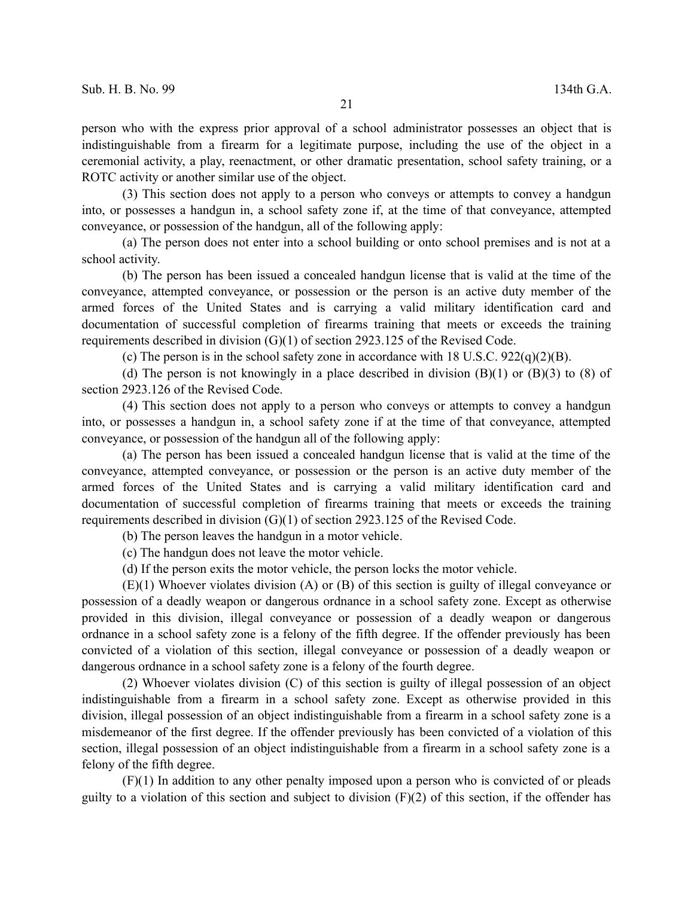person who with the express prior approval of a school administrator possesses an object that is indistinguishable from a firearm for a legitimate purpose, including the use of the object in a ceremonial activity, a play, reenactment, or other dramatic presentation, school safety training, or a ROTC activity or another similar use of the object.

(3) This section does not apply to a person who conveys or attempts to convey a handgun into, or possesses a handgun in, a school safety zone if, at the time of that conveyance, attempted conveyance, or possession of the handgun, all of the following apply:

(a) The person does not enter into a school building or onto school premises and is not at a school activity.

(b) The person has been issued a concealed handgun license that is valid at the time of the conveyance, attempted conveyance, or possession or the person is an active duty member of the armed forces of the United States and is carrying a valid military identification card and documentation of successful completion of firearms training that meets or exceeds the training requirements described in division (G)(1) of section 2923.125 of the Revised Code.

(c) The person is in the school safety zone in accordance with 18 U.S.C.  $922(q)(2)(B)$ .

(d) The person is not knowingly in a place described in division  $(B)(1)$  or  $(B)(3)$  to  $(8)$  of section 2923.126 of the Revised Code.

(4) This section does not apply to a person who conveys or attempts to convey a handgun into, or possesses a handgun in, a school safety zone if at the time of that conveyance, attempted conveyance, or possession of the handgun all of the following apply:

(a) The person has been issued a concealed handgun license that is valid at the time of the conveyance, attempted conveyance, or possession or the person is an active duty member of the armed forces of the United States and is carrying a valid military identification card and documentation of successful completion of firearms training that meets or exceeds the training requirements described in division (G)(1) of section 2923.125 of the Revised Code.

(b) The person leaves the handgun in a motor vehicle.

(c) The handgun does not leave the motor vehicle.

(d) If the person exits the motor vehicle, the person locks the motor vehicle.

(E)(1) Whoever violates division (A) or (B) of this section is guilty of illegal conveyance or possession of a deadly weapon or dangerous ordnance in a school safety zone. Except as otherwise provided in this division, illegal conveyance or possession of a deadly weapon or dangerous ordnance in a school safety zone is a felony of the fifth degree. If the offender previously has been convicted of a violation of this section, illegal conveyance or possession of a deadly weapon or dangerous ordnance in a school safety zone is a felony of the fourth degree.

(2) Whoever violates division (C) of this section is guilty of illegal possession of an object indistinguishable from a firearm in a school safety zone. Except as otherwise provided in this division, illegal possession of an object indistinguishable from a firearm in a school safety zone is a misdemeanor of the first degree. If the offender previously has been convicted of a violation of this section, illegal possession of an object indistinguishable from a firearm in a school safety zone is a felony of the fifth degree.

(F)(1) In addition to any other penalty imposed upon a person who is convicted of or pleads guilty to a violation of this section and subject to division (F)(2) of this section, if the offender has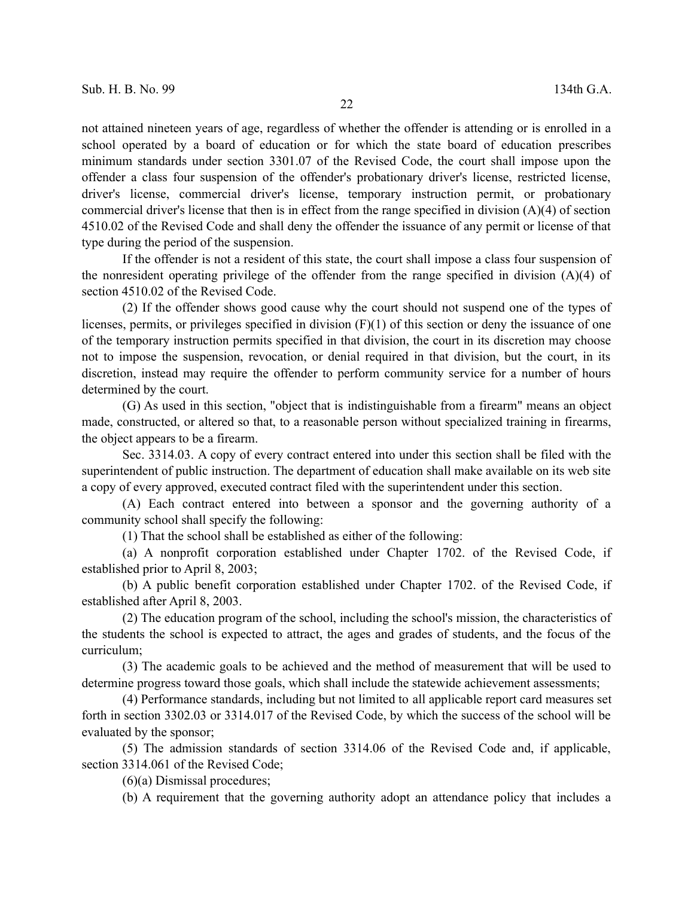not attained nineteen years of age, regardless of whether the offender is attending or is enrolled in a school operated by a board of education or for which the state board of education prescribes minimum standards under section 3301.07 of the Revised Code, the court shall impose upon the offender a class four suspension of the offender's probationary driver's license, restricted license, driver's license, commercial driver's license, temporary instruction permit, or probationary commercial driver's license that then is in effect from the range specified in division (A)(4) of section 4510.02 of the Revised Code and shall deny the offender the issuance of any permit or license of that type during the period of the suspension.

If the offender is not a resident of this state, the court shall impose a class four suspension of the nonresident operating privilege of the offender from the range specified in division (A)(4) of section 4510.02 of the Revised Code.

(2) If the offender shows good cause why the court should not suspend one of the types of licenses, permits, or privileges specified in division (F)(1) of this section or deny the issuance of one of the temporary instruction permits specified in that division, the court in its discretion may choose not to impose the suspension, revocation, or denial required in that division, but the court, in its discretion, instead may require the offender to perform community service for a number of hours determined by the court.

(G) As used in this section, "object that is indistinguishable from a firearm" means an object made, constructed, or altered so that, to a reasonable person without specialized training in firearms, the object appears to be a firearm.

Sec. 3314.03. A copy of every contract entered into under this section shall be filed with the superintendent of public instruction. The department of education shall make available on its web site a copy of every approved, executed contract filed with the superintendent under this section.

(A) Each contract entered into between a sponsor and the governing authority of a community school shall specify the following:

(1) That the school shall be established as either of the following:

(a) A nonprofit corporation established under Chapter 1702. of the Revised Code, if established prior to April 8, 2003;

(b) A public benefit corporation established under Chapter 1702. of the Revised Code, if established after April 8, 2003.

(2) The education program of the school, including the school's mission, the characteristics of the students the school is expected to attract, the ages and grades of students, and the focus of the curriculum;

(3) The academic goals to be achieved and the method of measurement that will be used to determine progress toward those goals, which shall include the statewide achievement assessments;

(4) Performance standards, including but not limited to all applicable report card measures set forth in section 3302.03 or 3314.017 of the Revised Code, by which the success of the school will be evaluated by the sponsor;

(5) The admission standards of section 3314.06 of the Revised Code and, if applicable, section 3314.061 of the Revised Code;

(6)(a) Dismissal procedures;

(b) A requirement that the governing authority adopt an attendance policy that includes a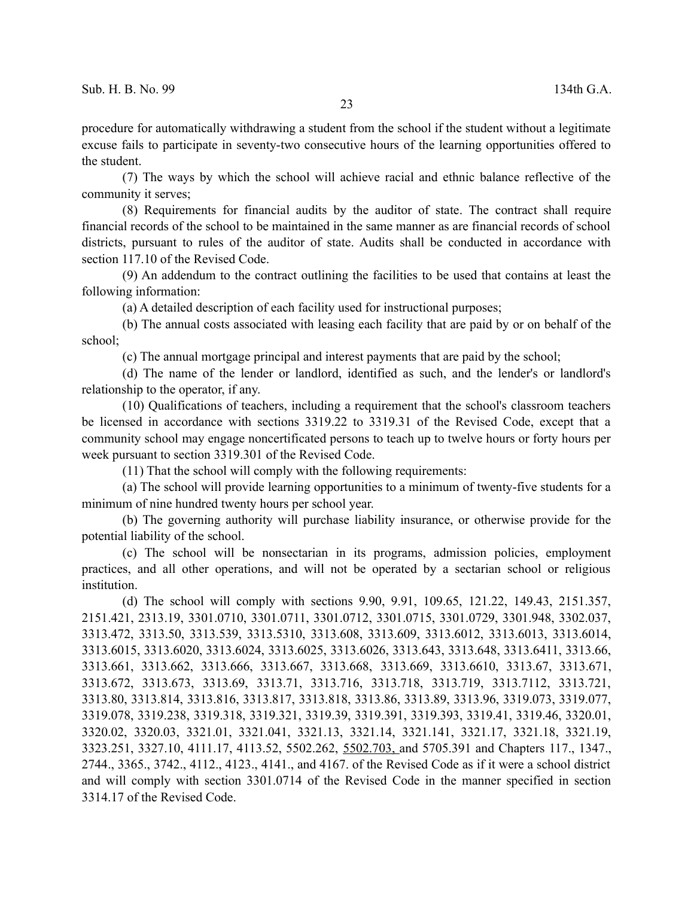procedure for automatically withdrawing a student from the school if the student without a legitimate excuse fails to participate in seventy-two consecutive hours of the learning opportunities offered to the student.

(7) The ways by which the school will achieve racial and ethnic balance reflective of the community it serves;

(8) Requirements for financial audits by the auditor of state. The contract shall require financial records of the school to be maintained in the same manner as are financial records of school districts, pursuant to rules of the auditor of state. Audits shall be conducted in accordance with section 117.10 of the Revised Code.

(9) An addendum to the contract outlining the facilities to be used that contains at least the following information:

(a) A detailed description of each facility used for instructional purposes;

(b) The annual costs associated with leasing each facility that are paid by or on behalf of the school;

(c) The annual mortgage principal and interest payments that are paid by the school;

(d) The name of the lender or landlord, identified as such, and the lender's or landlord's relationship to the operator, if any.

(10) Qualifications of teachers, including a requirement that the school's classroom teachers be licensed in accordance with sections 3319.22 to 3319.31 of the Revised Code, except that a community school may engage noncertificated persons to teach up to twelve hours or forty hours per week pursuant to section 3319.301 of the Revised Code.

(11) That the school will comply with the following requirements:

(a) The school will provide learning opportunities to a minimum of twenty-five students for a minimum of nine hundred twenty hours per school year.

(b) The governing authority will purchase liability insurance, or otherwise provide for the potential liability of the school.

(c) The school will be nonsectarian in its programs, admission policies, employment practices, and all other operations, and will not be operated by a sectarian school or religious institution.

(d) The school will comply with sections 9.90, 9.91, 109.65, 121.22, 149.43, 2151.357, 2151.421, 2313.19, 3301.0710, 3301.0711, 3301.0712, 3301.0715, 3301.0729, 3301.948, 3302.037, 3313.472, 3313.50, 3313.539, 3313.5310, 3313.608, 3313.609, 3313.6012, 3313.6013, 3313.6014, 3313.6015, 3313.6020, 3313.6024, 3313.6025, 3313.6026, 3313.643, 3313.648, 3313.6411, 3313.66, 3313.661, 3313.662, 3313.666, 3313.667, 3313.668, 3313.669, 3313.6610, 3313.67, 3313.671, 3313.672, 3313.673, 3313.69, 3313.71, 3313.716, 3313.718, 3313.719, 3313.7112, 3313.721, 3313.80, 3313.814, 3313.816, 3313.817, 3313.818, 3313.86, 3313.89, 3313.96, 3319.073, 3319.077, 3319.078, 3319.238, 3319.318, 3319.321, 3319.39, 3319.391, 3319.393, 3319.41, 3319.46, 3320.01, 3320.02, 3320.03, 3321.01, 3321.041, 3321.13, 3321.14, 3321.141, 3321.17, 3321.18, 3321.19, 3323.251, 3327.10, 4111.17, 4113.52, 5502.262, 5502.703, and 5705.391 and Chapters 117., 1347., 2744., 3365., 3742., 4112., 4123., 4141., and 4167. of the Revised Code as if it were a school district and will comply with section 3301.0714 of the Revised Code in the manner specified in section 3314.17 of the Revised Code.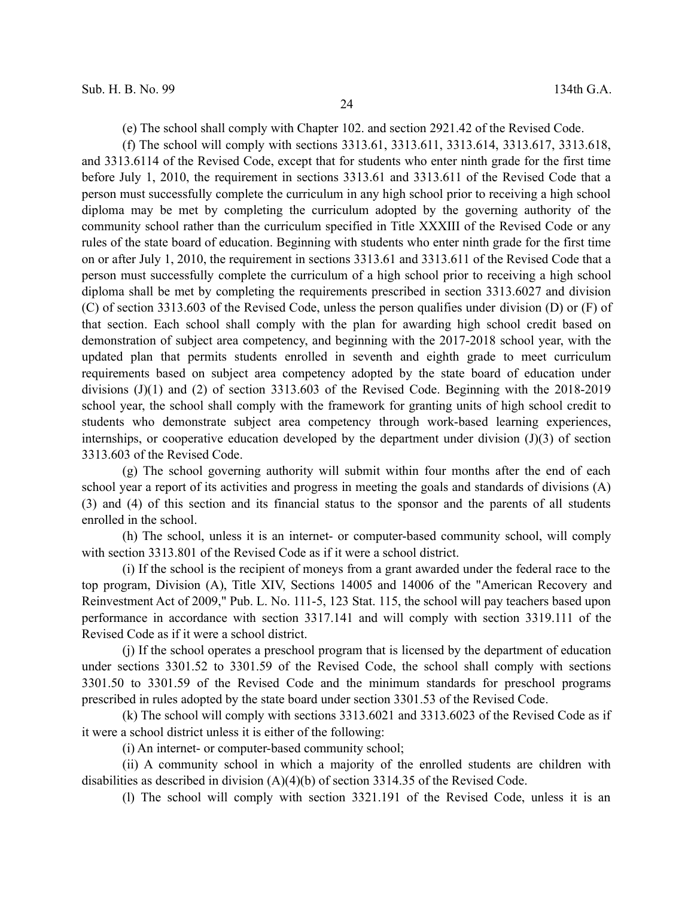(e) The school shall comply with Chapter 102. and section 2921.42 of the Revised Code.

(f) The school will comply with sections 3313.61, 3313.611, 3313.614, 3313.617, 3313.618, and 3313.6114 of the Revised Code, except that for students who enter ninth grade for the first time before July 1, 2010, the requirement in sections 3313.61 and 3313.611 of the Revised Code that a person must successfully complete the curriculum in any high school prior to receiving a high school diploma may be met by completing the curriculum adopted by the governing authority of the community school rather than the curriculum specified in Title XXXIII of the Revised Code or any rules of the state board of education. Beginning with students who enter ninth grade for the first time on or after July 1, 2010, the requirement in sections 3313.61 and 3313.611 of the Revised Code that a person must successfully complete the curriculum of a high school prior to receiving a high school diploma shall be met by completing the requirements prescribed in section 3313.6027 and division (C) of section 3313.603 of the Revised Code, unless the person qualifies under division (D) or (F) of that section. Each school shall comply with the plan for awarding high school credit based on demonstration of subject area competency, and beginning with the 2017-2018 school year, with the updated plan that permits students enrolled in seventh and eighth grade to meet curriculum requirements based on subject area competency adopted by the state board of education under divisions (J)(1) and (2) of section 3313.603 of the Revised Code. Beginning with the 2018-2019 school year, the school shall comply with the framework for granting units of high school credit to students who demonstrate subject area competency through work-based learning experiences, internships, or cooperative education developed by the department under division  $(J)(3)$  of section 3313.603 of the Revised Code.

(g) The school governing authority will submit within four months after the end of each school year a report of its activities and progress in meeting the goals and standards of divisions (A) (3) and (4) of this section and its financial status to the sponsor and the parents of all students enrolled in the school.

(h) The school, unless it is an internet- or computer-based community school, will comply with section 3313.801 of the Revised Code as if it were a school district.

(i) If the school is the recipient of moneys from a grant awarded under the federal race to the top program, Division (A), Title XIV, Sections 14005 and 14006 of the "American Recovery and Reinvestment Act of 2009," Pub. L. No. 111-5, 123 Stat. 115, the school will pay teachers based upon performance in accordance with section 3317.141 and will comply with section 3319.111 of the Revised Code as if it were a school district.

(j) If the school operates a preschool program that is licensed by the department of education under sections 3301.52 to 3301.59 of the Revised Code, the school shall comply with sections 3301.50 to 3301.59 of the Revised Code and the minimum standards for preschool programs prescribed in rules adopted by the state board under section 3301.53 of the Revised Code.

(k) The school will comply with sections 3313.6021 and 3313.6023 of the Revised Code as if it were a school district unless it is either of the following:

(i) An internet- or computer-based community school;

(ii) A community school in which a majority of the enrolled students are children with disabilities as described in division (A)(4)(b) of section 3314.35 of the Revised Code.

(l) The school will comply with section 3321.191 of the Revised Code, unless it is an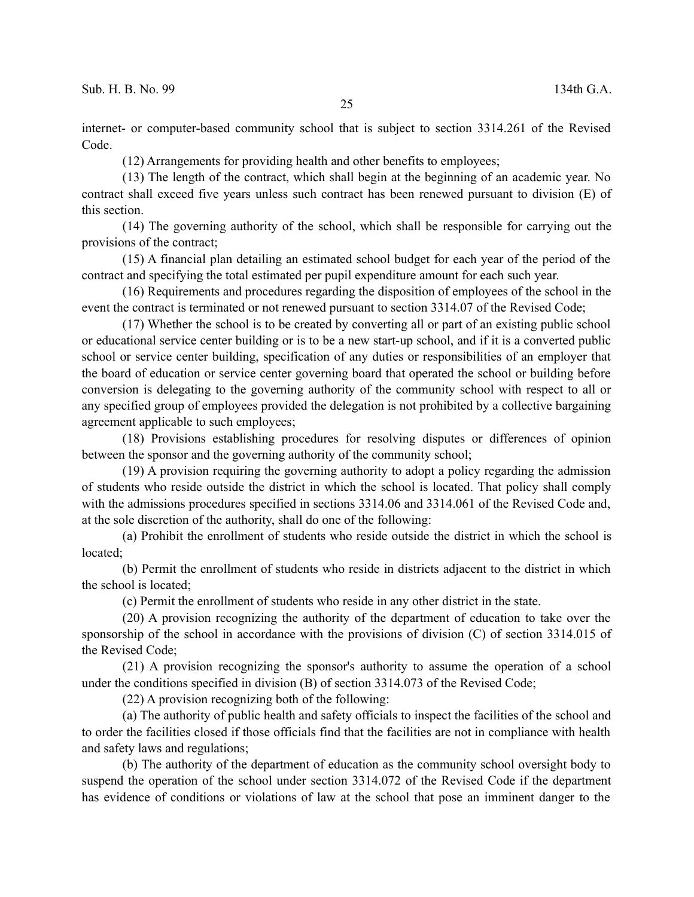internet- or computer-based community school that is subject to section 3314.261 of the Revised Code.

(12) Arrangements for providing health and other benefits to employees;

(13) The length of the contract, which shall begin at the beginning of an academic year. No contract shall exceed five years unless such contract has been renewed pursuant to division (E) of this section.

(14) The governing authority of the school, which shall be responsible for carrying out the provisions of the contract;

(15) A financial plan detailing an estimated school budget for each year of the period of the contract and specifying the total estimated per pupil expenditure amount for each such year.

(16) Requirements and procedures regarding the disposition of employees of the school in the event the contract is terminated or not renewed pursuant to section 3314.07 of the Revised Code;

(17) Whether the school is to be created by converting all or part of an existing public school or educational service center building or is to be a new start-up school, and if it is a converted public school or service center building, specification of any duties or responsibilities of an employer that the board of education or service center governing board that operated the school or building before conversion is delegating to the governing authority of the community school with respect to all or any specified group of employees provided the delegation is not prohibited by a collective bargaining agreement applicable to such employees;

(18) Provisions establishing procedures for resolving disputes or differences of opinion between the sponsor and the governing authority of the community school;

(19) A provision requiring the governing authority to adopt a policy regarding the admission of students who reside outside the district in which the school is located. That policy shall comply with the admissions procedures specified in sections 3314.06 and 3314.061 of the Revised Code and, at the sole discretion of the authority, shall do one of the following:

(a) Prohibit the enrollment of students who reside outside the district in which the school is located;

(b) Permit the enrollment of students who reside in districts adjacent to the district in which the school is located;

(c) Permit the enrollment of students who reside in any other district in the state.

(20) A provision recognizing the authority of the department of education to take over the sponsorship of the school in accordance with the provisions of division (C) of section 3314.015 of the Revised Code;

(21) A provision recognizing the sponsor's authority to assume the operation of a school under the conditions specified in division (B) of section 3314.073 of the Revised Code;

(22) A provision recognizing both of the following:

(a) The authority of public health and safety officials to inspect the facilities of the school and to order the facilities closed if those officials find that the facilities are not in compliance with health and safety laws and regulations;

(b) The authority of the department of education as the community school oversight body to suspend the operation of the school under section 3314.072 of the Revised Code if the department has evidence of conditions or violations of law at the school that pose an imminent danger to the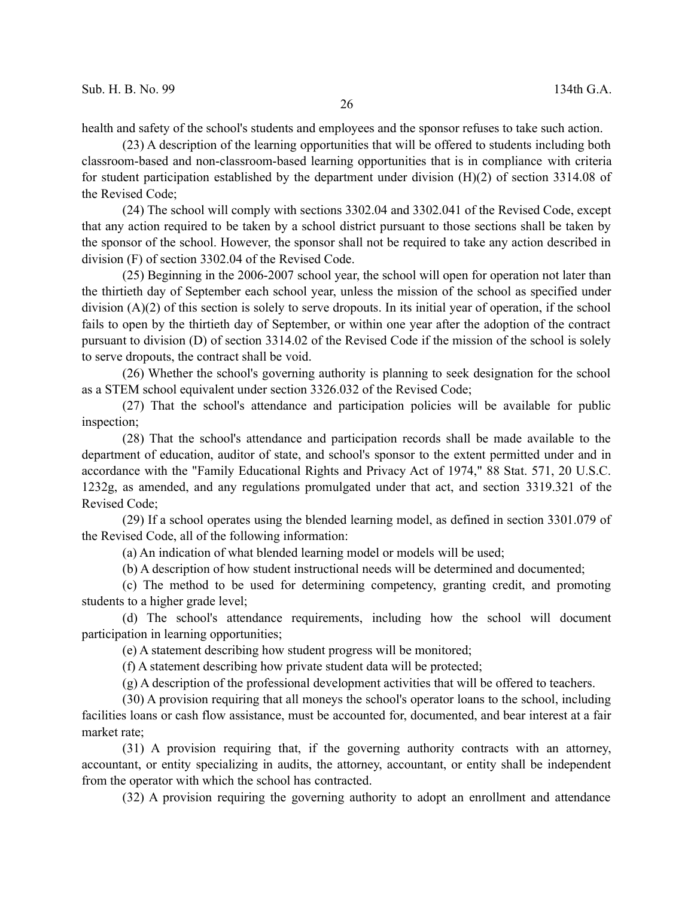health and safety of the school's students and employees and the sponsor refuses to take such action.

(23) A description of the learning opportunities that will be offered to students including both classroom-based and non-classroom-based learning opportunities that is in compliance with criteria for student participation established by the department under division (H)(2) of section 3314.08 of the Revised Code;

(24) The school will comply with sections 3302.04 and 3302.041 of the Revised Code, except that any action required to be taken by a school district pursuant to those sections shall be taken by the sponsor of the school. However, the sponsor shall not be required to take any action described in division (F) of section 3302.04 of the Revised Code.

(25) Beginning in the 2006-2007 school year, the school will open for operation not later than the thirtieth day of September each school year, unless the mission of the school as specified under division (A)(2) of this section is solely to serve dropouts. In its initial year of operation, if the school fails to open by the thirtieth day of September, or within one year after the adoption of the contract pursuant to division (D) of section 3314.02 of the Revised Code if the mission of the school is solely to serve dropouts, the contract shall be void.

(26) Whether the school's governing authority is planning to seek designation for the school as a STEM school equivalent under section 3326.032 of the Revised Code;

(27) That the school's attendance and participation policies will be available for public inspection;

(28) That the school's attendance and participation records shall be made available to the department of education, auditor of state, and school's sponsor to the extent permitted under and in accordance with the "Family Educational Rights and Privacy Act of 1974," 88 Stat. 571, 20 U.S.C. 1232g, as amended, and any regulations promulgated under that act, and section 3319.321 of the Revised Code;

(29) If a school operates using the blended learning model, as defined in section 3301.079 of the Revised Code, all of the following information:

(a) An indication of what blended learning model or models will be used;

(b) A description of how student instructional needs will be determined and documented;

(c) The method to be used for determining competency, granting credit, and promoting students to a higher grade level;

(d) The school's attendance requirements, including how the school will document participation in learning opportunities;

(e) A statement describing how student progress will be monitored;

(f) A statement describing how private student data will be protected;

(g) A description of the professional development activities that will be offered to teachers.

(30) A provision requiring that all moneys the school's operator loans to the school, including facilities loans or cash flow assistance, must be accounted for, documented, and bear interest at a fair market rate;

(31) A provision requiring that, if the governing authority contracts with an attorney, accountant, or entity specializing in audits, the attorney, accountant, or entity shall be independent from the operator with which the school has contracted.

(32) A provision requiring the governing authority to adopt an enrollment and attendance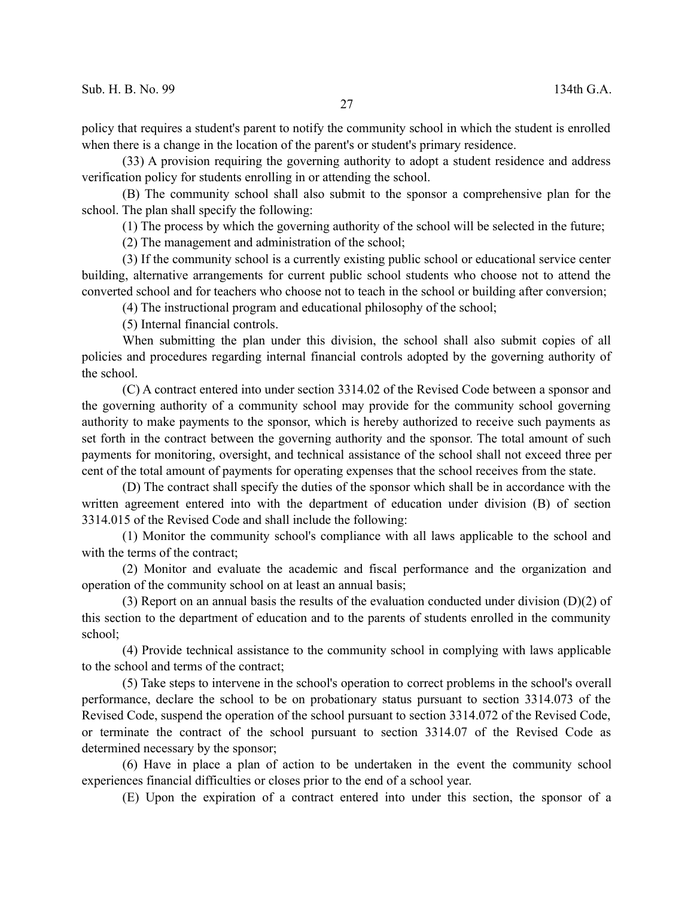policy that requires a student's parent to notify the community school in which the student is enrolled when there is a change in the location of the parent's or student's primary residence.

(33) A provision requiring the governing authority to adopt a student residence and address verification policy for students enrolling in or attending the school.

(B) The community school shall also submit to the sponsor a comprehensive plan for the school. The plan shall specify the following:

(1) The process by which the governing authority of the school will be selected in the future;

(2) The management and administration of the school;

(3) If the community school is a currently existing public school or educational service center building, alternative arrangements for current public school students who choose not to attend the converted school and for teachers who choose not to teach in the school or building after conversion;

(4) The instructional program and educational philosophy of the school;

(5) Internal financial controls.

When submitting the plan under this division, the school shall also submit copies of all policies and procedures regarding internal financial controls adopted by the governing authority of the school.

(C) A contract entered into under section 3314.02 of the Revised Code between a sponsor and the governing authority of a community school may provide for the community school governing authority to make payments to the sponsor, which is hereby authorized to receive such payments as set forth in the contract between the governing authority and the sponsor. The total amount of such payments for monitoring, oversight, and technical assistance of the school shall not exceed three per cent of the total amount of payments for operating expenses that the school receives from the state.

(D) The contract shall specify the duties of the sponsor which shall be in accordance with the written agreement entered into with the department of education under division (B) of section 3314.015 of the Revised Code and shall include the following:

(1) Monitor the community school's compliance with all laws applicable to the school and with the terms of the contract;

(2) Monitor and evaluate the academic and fiscal performance and the organization and operation of the community school on at least an annual basis;

(3) Report on an annual basis the results of the evaluation conducted under division  $(D)(2)$  of this section to the department of education and to the parents of students enrolled in the community school;

(4) Provide technical assistance to the community school in complying with laws applicable to the school and terms of the contract;

(5) Take steps to intervene in the school's operation to correct problems in the school's overall performance, declare the school to be on probationary status pursuant to section 3314.073 of the Revised Code, suspend the operation of the school pursuant to section 3314.072 of the Revised Code, or terminate the contract of the school pursuant to section 3314.07 of the Revised Code as determined necessary by the sponsor;

(6) Have in place a plan of action to be undertaken in the event the community school experiences financial difficulties or closes prior to the end of a school year.

(E) Upon the expiration of a contract entered into under this section, the sponsor of a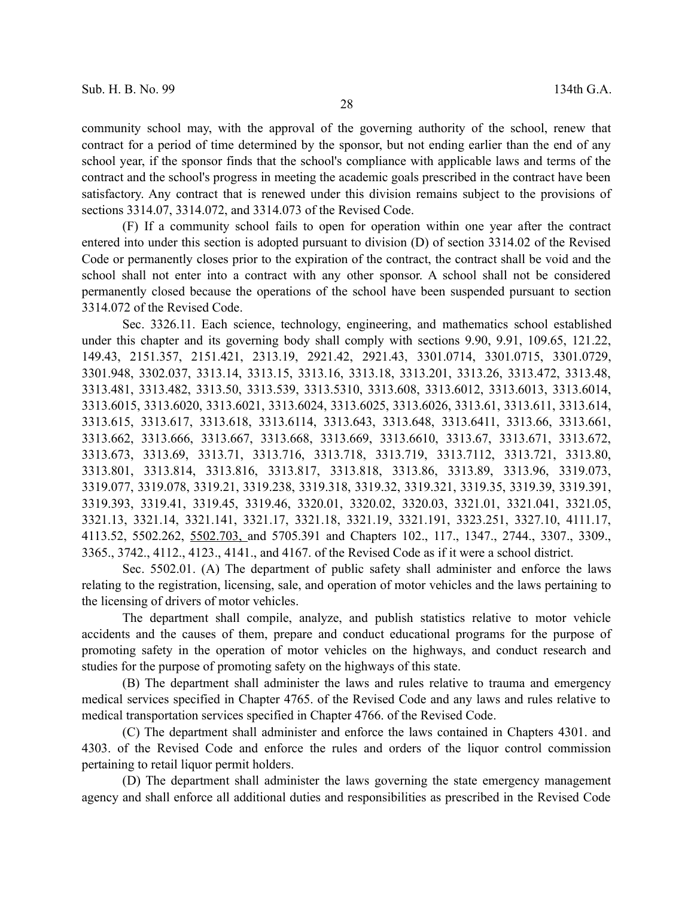community school may, with the approval of the governing authority of the school, renew that contract for a period of time determined by the sponsor, but not ending earlier than the end of any school year, if the sponsor finds that the school's compliance with applicable laws and terms of the contract and the school's progress in meeting the academic goals prescribed in the contract have been satisfactory. Any contract that is renewed under this division remains subject to the provisions of sections 3314.07, 3314.072, and 3314.073 of the Revised Code.

(F) If a community school fails to open for operation within one year after the contract entered into under this section is adopted pursuant to division (D) of section 3314.02 of the Revised Code or permanently closes prior to the expiration of the contract, the contract shall be void and the school shall not enter into a contract with any other sponsor. A school shall not be considered permanently closed because the operations of the school have been suspended pursuant to section 3314.072 of the Revised Code.

Sec. 3326.11. Each science, technology, engineering, and mathematics school established under this chapter and its governing body shall comply with sections 9.90, 9.91, 109.65, 121.22, 149.43, 2151.357, 2151.421, 2313.19, 2921.42, 2921.43, 3301.0714, 3301.0715, 3301.0729, 3301.948, 3302.037, 3313.14, 3313.15, 3313.16, 3313.18, 3313.201, 3313.26, 3313.472, 3313.48, 3313.481, 3313.482, 3313.50, 3313.539, 3313.5310, 3313.608, 3313.6012, 3313.6013, 3313.6014, 3313.6015, 3313.6020, 3313.6021, 3313.6024, 3313.6025, 3313.6026, 3313.61, 3313.611, 3313.614, 3313.615, 3313.617, 3313.618, 3313.6114, 3313.643, 3313.648, 3313.6411, 3313.66, 3313.661, 3313.662, 3313.666, 3313.667, 3313.668, 3313.669, 3313.6610, 3313.67, 3313.671, 3313.672, 3313.673, 3313.69, 3313.71, 3313.716, 3313.718, 3313.719, 3313.7112, 3313.721, 3313.80, 3313.801, 3313.814, 3313.816, 3313.817, 3313.818, 3313.86, 3313.89, 3313.96, 3319.073, 3319.077, 3319.078, 3319.21, 3319.238, 3319.318, 3319.32, 3319.321, 3319.35, 3319.39, 3319.391, 3319.393, 3319.41, 3319.45, 3319.46, 3320.01, 3320.02, 3320.03, 3321.01, 3321.041, 3321.05, 3321.13, 3321.14, 3321.141, 3321.17, 3321.18, 3321.19, 3321.191, 3323.251, 3327.10, 4111.17, 4113.52, 5502.262, 5502.703, and 5705.391 and Chapters 102., 117., 1347., 2744., 3307., 3309., 3365., 3742., 4112., 4123., 4141., and 4167. of the Revised Code as if it were a school district.

Sec. 5502.01. (A) The department of public safety shall administer and enforce the laws relating to the registration, licensing, sale, and operation of motor vehicles and the laws pertaining to the licensing of drivers of motor vehicles.

The department shall compile, analyze, and publish statistics relative to motor vehicle accidents and the causes of them, prepare and conduct educational programs for the purpose of promoting safety in the operation of motor vehicles on the highways, and conduct research and studies for the purpose of promoting safety on the highways of this state.

(B) The department shall administer the laws and rules relative to trauma and emergency medical services specified in Chapter 4765. of the Revised Code and any laws and rules relative to medical transportation services specified in Chapter 4766. of the Revised Code.

(C) The department shall administer and enforce the laws contained in Chapters 4301. and 4303. of the Revised Code and enforce the rules and orders of the liquor control commission pertaining to retail liquor permit holders.

(D) The department shall administer the laws governing the state emergency management agency and shall enforce all additional duties and responsibilities as prescribed in the Revised Code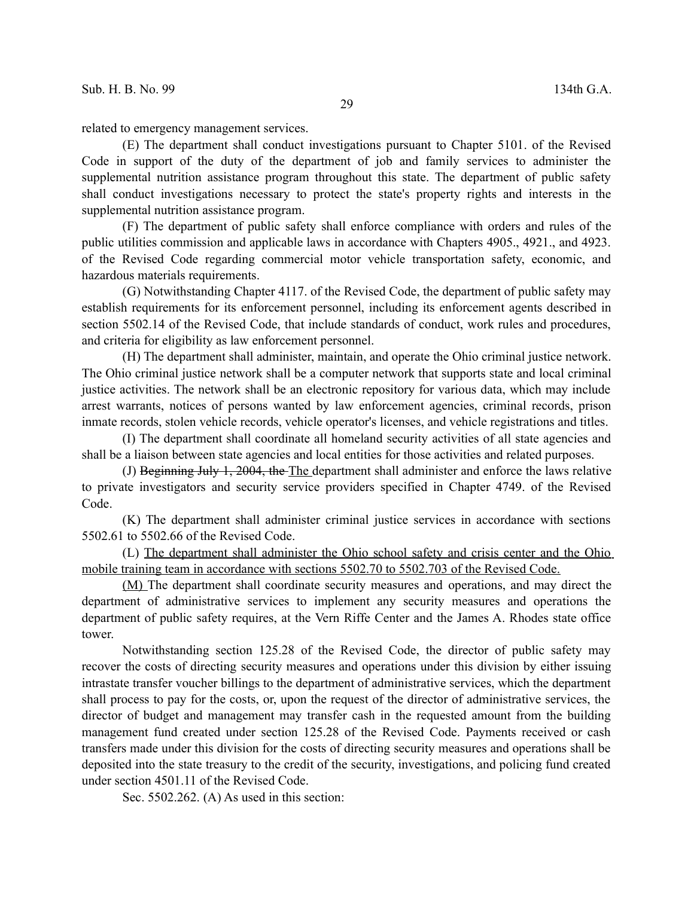related to emergency management services.

(E) The department shall conduct investigations pursuant to Chapter 5101. of the Revised Code in support of the duty of the department of job and family services to administer the supplemental nutrition assistance program throughout this state. The department of public safety shall conduct investigations necessary to protect the state's property rights and interests in the supplemental nutrition assistance program.

(F) The department of public safety shall enforce compliance with orders and rules of the public utilities commission and applicable laws in accordance with Chapters 4905., 4921., and 4923. of the Revised Code regarding commercial motor vehicle transportation safety, economic, and hazardous materials requirements.

(G) Notwithstanding Chapter 4117. of the Revised Code, the department of public safety may establish requirements for its enforcement personnel, including its enforcement agents described in section 5502.14 of the Revised Code, that include standards of conduct, work rules and procedures, and criteria for eligibility as law enforcement personnel.

(H) The department shall administer, maintain, and operate the Ohio criminal justice network. The Ohio criminal justice network shall be a computer network that supports state and local criminal justice activities. The network shall be an electronic repository for various data, which may include arrest warrants, notices of persons wanted by law enforcement agencies, criminal records, prison inmate records, stolen vehicle records, vehicle operator's licenses, and vehicle registrations and titles.

(I) The department shall coordinate all homeland security activities of all state agencies and shall be a liaison between state agencies and local entities for those activities and related purposes.

(J) Beginning July 1, 2004, the The department shall administer and enforce the laws relative to private investigators and security service providers specified in Chapter 4749. of the Revised Code.

(K) The department shall administer criminal justice services in accordance with sections 5502.61 to 5502.66 of the Revised Code.

(L) The department shall administer the Ohio school safety and crisis center and the Ohio mobile training team in accordance with sections 5502.70 to 5502.703 of the Revised Code.

(M) The department shall coordinate security measures and operations, and may direct the department of administrative services to implement any security measures and operations the department of public safety requires, at the Vern Riffe Center and the James A. Rhodes state office tower.

Notwithstanding section 125.28 of the Revised Code, the director of public safety may recover the costs of directing security measures and operations under this division by either issuing intrastate transfer voucher billings to the department of administrative services, which the department shall process to pay for the costs, or, upon the request of the director of administrative services, the director of budget and management may transfer cash in the requested amount from the building management fund created under section 125.28 of the Revised Code. Payments received or cash transfers made under this division for the costs of directing security measures and operations shall be deposited into the state treasury to the credit of the security, investigations, and policing fund created under section 4501.11 of the Revised Code.

Sec. 5502.262. (A) As used in this section: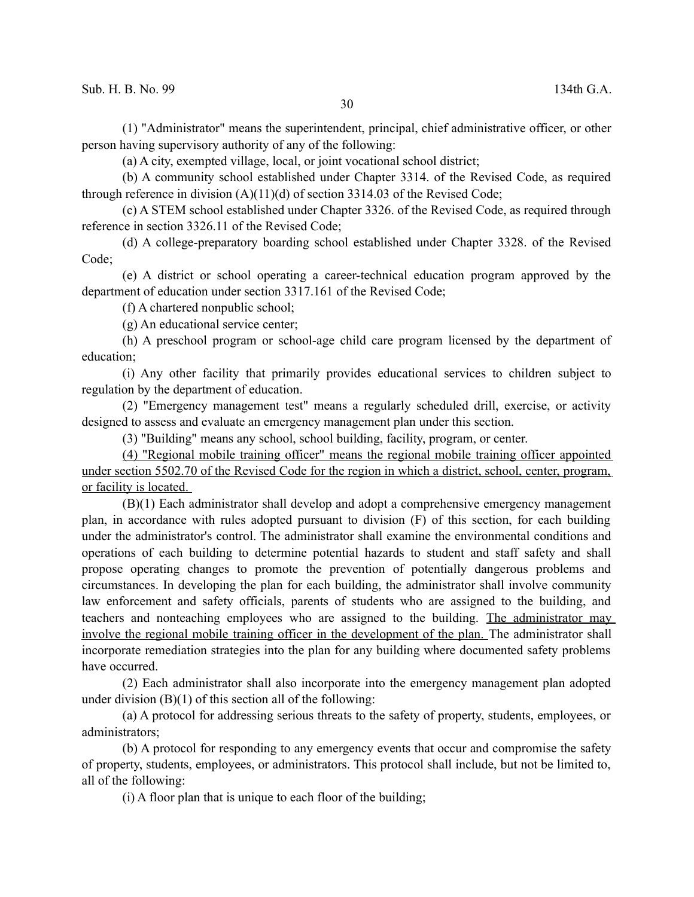(1) "Administrator" means the superintendent, principal, chief administrative officer, or other person having supervisory authority of any of the following:

(a) A city, exempted village, local, or joint vocational school district;

(b) A community school established under Chapter 3314. of the Revised Code, as required through reference in division (A)(11)(d) of section 3314.03 of the Revised Code;

(c) A STEM school established under Chapter 3326. of the Revised Code, as required through reference in section 3326.11 of the Revised Code;

(d) A college-preparatory boarding school established under Chapter 3328. of the Revised Code;

(e) A district or school operating a career-technical education program approved by the department of education under section 3317.161 of the Revised Code;

(f) A chartered nonpublic school;

(g) An educational service center;

(h) A preschool program or school-age child care program licensed by the department of education;

(i) Any other facility that primarily provides educational services to children subject to regulation by the department of education.

(2) "Emergency management test" means a regularly scheduled drill, exercise, or activity designed to assess and evaluate an emergency management plan under this section.

(3) "Building" means any school, school building, facility, program, or center.

(4) "Regional mobile training officer" means the regional mobile training officer appointed under section 5502.70 of the Revised Code for the region in which a district, school, center, program, or facility is located.

(B)(1) Each administrator shall develop and adopt a comprehensive emergency management plan, in accordance with rules adopted pursuant to division (F) of this section, for each building under the administrator's control. The administrator shall examine the environmental conditions and operations of each building to determine potential hazards to student and staff safety and shall propose operating changes to promote the prevention of potentially dangerous problems and circumstances. In developing the plan for each building, the administrator shall involve community law enforcement and safety officials, parents of students who are assigned to the building, and teachers and nonteaching employees who are assigned to the building. The administrator may involve the regional mobile training officer in the development of the plan. The administrator shall incorporate remediation strategies into the plan for any building where documented safety problems have occurred.

(2) Each administrator shall also incorporate into the emergency management plan adopted under division  $(B)(1)$  of this section all of the following:

(a) A protocol for addressing serious threats to the safety of property, students, employees, or administrators;

(b) A protocol for responding to any emergency events that occur and compromise the safety of property, students, employees, or administrators. This protocol shall include, but not be limited to, all of the following:

(i) A floor plan that is unique to each floor of the building;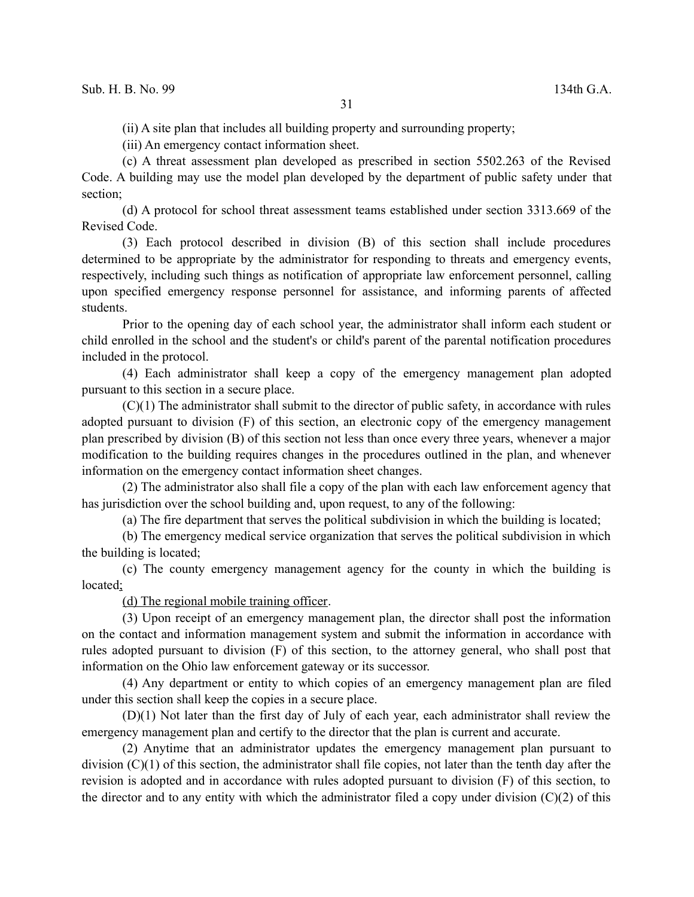(ii) A site plan that includes all building property and surrounding property;

(iii) An emergency contact information sheet.

(c) A threat assessment plan developed as prescribed in section 5502.263 of the Revised Code. A building may use the model plan developed by the department of public safety under that section;

(d) A protocol for school threat assessment teams established under section 3313.669 of the Revised Code.

(3) Each protocol described in division (B) of this section shall include procedures determined to be appropriate by the administrator for responding to threats and emergency events, respectively, including such things as notification of appropriate law enforcement personnel, calling upon specified emergency response personnel for assistance, and informing parents of affected students.

Prior to the opening day of each school year, the administrator shall inform each student or child enrolled in the school and the student's or child's parent of the parental notification procedures included in the protocol.

(4) Each administrator shall keep a copy of the emergency management plan adopted pursuant to this section in a secure place.

(C)(1) The administrator shall submit to the director of public safety, in accordance with rules adopted pursuant to division (F) of this section, an electronic copy of the emergency management plan prescribed by division (B) of this section not less than once every three years, whenever a major modification to the building requires changes in the procedures outlined in the plan, and whenever information on the emergency contact information sheet changes.

(2) The administrator also shall file a copy of the plan with each law enforcement agency that has jurisdiction over the school building and, upon request, to any of the following:

(a) The fire department that serves the political subdivision in which the building is located;

(b) The emergency medical service organization that serves the political subdivision in which the building is located;

(c) The county emergency management agency for the county in which the building is located;

(d) The regional mobile training officer.

(3) Upon receipt of an emergency management plan, the director shall post the information on the contact and information management system and submit the information in accordance with rules adopted pursuant to division (F) of this section, to the attorney general, who shall post that information on the Ohio law enforcement gateway or its successor.

(4) Any department or entity to which copies of an emergency management plan are filed under this section shall keep the copies in a secure place.

(D)(1) Not later than the first day of July of each year, each administrator shall review the emergency management plan and certify to the director that the plan is current and accurate.

(2) Anytime that an administrator updates the emergency management plan pursuant to division (C)(1) of this section, the administrator shall file copies, not later than the tenth day after the revision is adopted and in accordance with rules adopted pursuant to division (F) of this section, to the director and to any entity with which the administrator filed a copy under division  $(C)(2)$  of this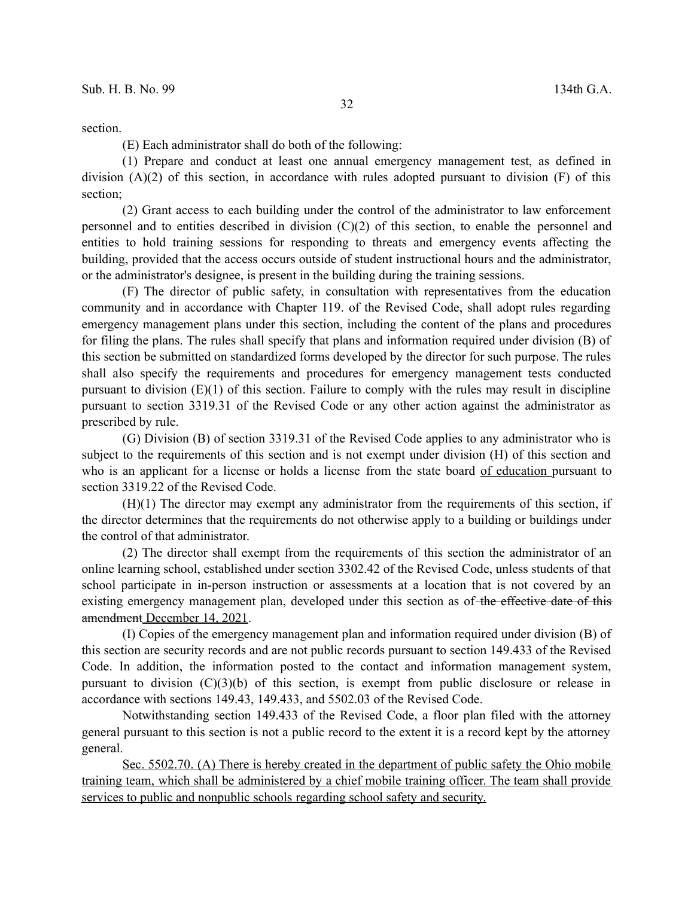section.

(E) Each administrator shall do both of the following:

(1) Prepare and conduct at least one annual emergency management test, as defined in division (A)(2) of this section, in accordance with rules adopted pursuant to division (F) of this section;

(2) Grant access to each building under the control of the administrator to law enforcement personnel and to entities described in division  $(C)(2)$  of this section, to enable the personnel and entities to hold training sessions for responding to threats and emergency events affecting the building, provided that the access occurs outside of student instructional hours and the administrator, or the administrator's designee, is present in the building during the training sessions.

(F) The director of public safety, in consultation with representatives from the education community and in accordance with Chapter 119. of the Revised Code, shall adopt rules regarding emergency management plans under this section, including the content of the plans and procedures for filing the plans. The rules shall specify that plans and information required under division (B) of this section be submitted on standardized forms developed by the director for such purpose. The rules shall also specify the requirements and procedures for emergency management tests conducted pursuant to division (E)(1) of this section. Failure to comply with the rules may result in discipline pursuant to section 3319.31 of the Revised Code or any other action against the administrator as prescribed by rule.

(G) Division (B) of section 3319.31 of the Revised Code applies to any administrator who is subject to the requirements of this section and is not exempt under division (H) of this section and who is an applicant for a license or holds a license from the state board of education pursuant to section 3319.22 of the Revised Code.

(H)(1) The director may exempt any administrator from the requirements of this section, if the director determines that the requirements do not otherwise apply to a building or buildings under the control of that administrator.

(2) The director shall exempt from the requirements of this section the administrator of an online learning school, established under section 3302.42 of the Revised Code, unless students of that school participate in in-person instruction or assessments at a location that is not covered by an existing emergency management plan, developed under this section as of the effective date of this amendment December 14, 2021.

(I) Copies of the emergency management plan and information required under division (B) of this section are security records and are not public records pursuant to section 149.433 of the Revised Code. In addition, the information posted to the contact and information management system, pursuant to division  $(C)(3)(b)$  of this section, is exempt from public disclosure or release in accordance with sections 149.43, 149.433, and 5502.03 of the Revised Code.

Notwithstanding section 149.433 of the Revised Code, a floor plan filed with the attorney general pursuant to this section is not a public record to the extent it is a record kept by the attorney general.

 Sec. 5502.70. (A) There is hereby created in the department of public safety the Ohio mobile training team, which shall be administered by a chief mobile training officer. The team shall provide services to public and nonpublic schools regarding school safety and security.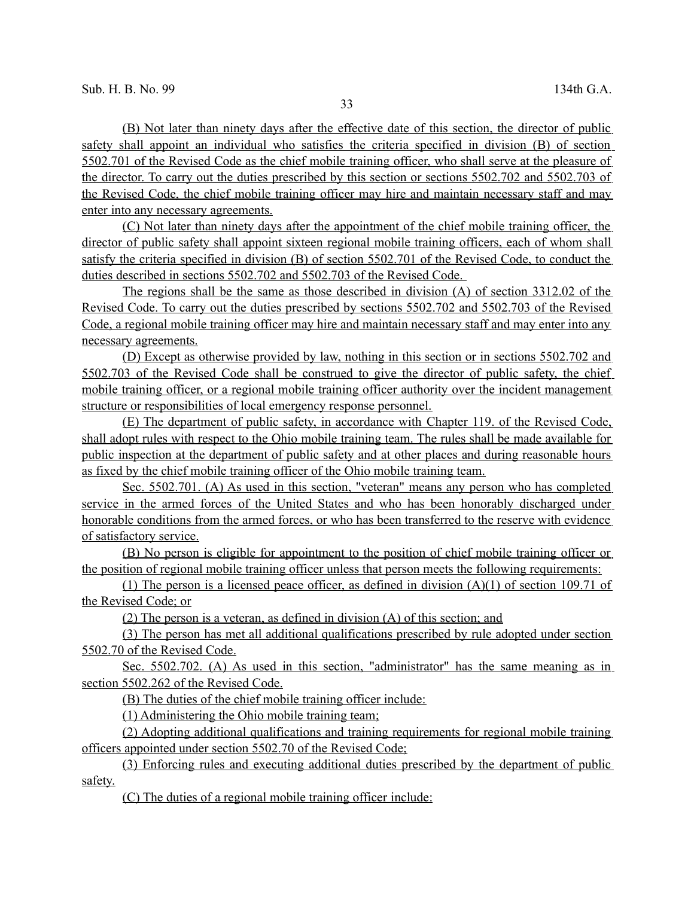(B) Not later than ninety days after the effective date of this section, the director of public safety shall appoint an individual who satisfies the criteria specified in division (B) of section 5502.701 of the Revised Code as the chief mobile training officer, who shall serve at the pleasure of the director. To carry out the duties prescribed by this section or sections 5502.702 and 5502.703 of the Revised Code, the chief mobile training officer may hire and maintain necessary staff and may enter into any necessary agreements.

(C) Not later than ninety days after the appointment of the chief mobile training officer, the director of public safety shall appoint sixteen regional mobile training officers, each of whom shall satisfy the criteria specified in division (B) of section 5502.701 of the Revised Code, to conduct the duties described in sections 5502.702 and 5502.703 of the Revised Code.

The regions shall be the same as those described in division (A) of section 3312.02 of the Revised Code. To carry out the duties prescribed by sections 5502.702 and 5502.703 of the Revised Code, a regional mobile training officer may hire and maintain necessary staff and may enter into any necessary agreements.

(D) Except as otherwise provided by law, nothing in this section or in sections 5502.702 and 5502.703 of the Revised Code shall be construed to give the director of public safety, the chief mobile training officer, or a regional mobile training officer authority over the incident management structure or responsibilities of local emergency response personnel.

 (E) The department of public safety, in accordance with Chapter 119. of the Revised Code, shall adopt rules with respect to the Ohio mobile training team. The rules shall be made available for public inspection at the department of public safety and at other places and during reasonable hours as fixed by the chief mobile training officer of the Ohio mobile training team.

 Sec. 5502.701. (A) As used in this section, "veteran" means any person who has completed service in the armed forces of the United States and who has been honorably discharged under honorable conditions from the armed forces, or who has been transferred to the reserve with evidence of satisfactory service.

(B) No person is eligible for appointment to the position of chief mobile training officer or the position of regional mobile training officer unless that person meets the following requirements:

(1) The person is a licensed peace officer, as defined in division  $(A)(1)$  of section 109.71 of the Revised Code; or

(2) The person is a veteran, as defined in division (A) of this section; and

(3) The person has met all additional qualifications prescribed by rule adopted under section 5502.70 of the Revised Code.

 Sec. 5502.702. (A) As used in this section, "administrator" has the same meaning as in section 5502.262 of the Revised Code.

(B) The duties of the chief mobile training officer include:

(1) Administering the Ohio mobile training team;

(2) Adopting additional qualifications and training requirements for regional mobile training officers appointed under section 5502.70 of the Revised Code;

(3) Enforcing rules and executing additional duties prescribed by the department of public safety.

(C) The duties of a regional mobile training officer include: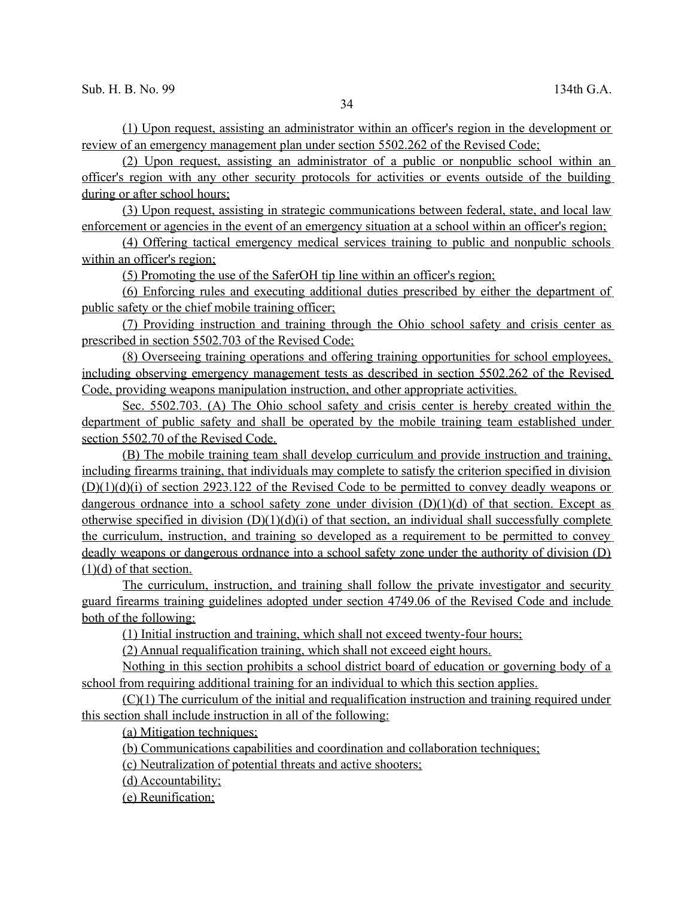(1) Upon request, assisting an administrator within an officer's region in the development or review of an emergency management plan under section 5502.262 of the Revised Code;

(2) Upon request, assisting an administrator of a public or nonpublic school within an officer's region with any other security protocols for activities or events outside of the building during or after school hours;

(3) Upon request, assisting in strategic communications between federal, state, and local law enforcement or agencies in the event of an emergency situation at a school within an officer's region;

(4) Offering tactical emergency medical services training to public and nonpublic schools within an officer's region;

(5) Promoting the use of the SaferOH tip line within an officer's region;

(6) Enforcing rules and executing additional duties prescribed by either the department of public safety or the chief mobile training officer;

 (7) Providing instruction and training through the Ohio school safety and crisis center as prescribed in section 5502.703 of the Revised Code;

(8) Overseeing training operations and offering training opportunities for school employees, including observing emergency management tests as described in section 5502.262 of the Revised Code, providing weapons manipulation instruction, and other appropriate activities.

 Sec. 5502.703. (A) The Ohio school safety and crisis center is hereby created within the department of public safety and shall be operated by the mobile training team established under section 5502.70 of the Revised Code.

(B) The mobile training team shall develop curriculum and provide instruction and training, including firearms training, that individuals may complete to satisfy the criterion specified in division (D)(1)(d)(i) of section 2923.122 of the Revised Code to be permitted to convey deadly weapons or dangerous ordnance into a school safety zone under division  $(D)(1)(d)$  of that section. Except as otherwise specified in division  $(D)(1)(d)(i)$  of that section, an individual shall successfully complete the curriculum, instruction, and training so developed as a requirement to be permitted to convey deadly weapons or dangerous ordnance into a school safety zone under the authority of division (D) (1)(d) of that section.

The curriculum, instruction, and training shall follow the private investigator and security guard firearms training guidelines adopted under section 4749.06 of the Revised Code and include both of the following:

(1) Initial instruction and training, which shall not exceed twenty-four hours;

(2) Annual requalification training, which shall not exceed eight hours.

Nothing in this section prohibits a school district board of education or governing body of a school from requiring additional training for an individual to which this section applies.

(C)(1) The curriculum of the initial and requalification instruction and training required under this section shall include instruction in all of the following:

(a) Mitigation techniques;

(b) Communications capabilities and coordination and collaboration techniques;

(c) Neutralization of potential threats and active shooters;

(d) Accountability;

(e) Reunification;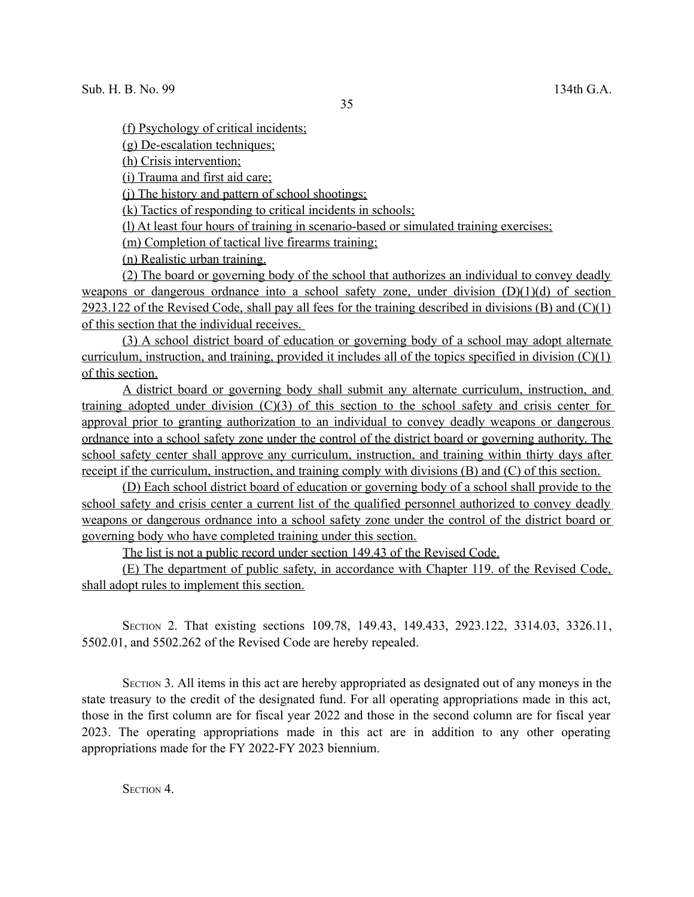(f) Psychology of critical incidents;

(g) De-escalation techniques;

(h) Crisis intervention;

(i) Trauma and first aid care;

(j) The history and pattern of school shootings;

(k) Tactics of responding to critical incidents in schools;

(l) At least four hours of training in scenario-based or simulated training exercises;

(m) Completion of tactical live firearms training;

(n) Realistic urban training.

(2) The board or governing body of the school that authorizes an individual to convey deadly weapons or dangerous ordnance into a school safety zone, under division (D)(1)(d) of section 2923.122 of the Revised Code, shall pay all fees for the training described in divisions (B) and  $(C)(1)$ of this section that the individual receives.

(3) A school district board of education or governing body of a school may adopt alternate curriculum, instruction, and training, provided it includes all of the topics specified in division  $(C)(1)$ of this section.

A district board or governing body shall submit any alternate curriculum, instruction, and training adopted under division (C)(3) of this section to the school safety and crisis center for approval prior to granting authorization to an individual to convey deadly weapons or dangerous ordnance into a school safety zone under the control of the district board or governing authority. The school safety center shall approve any curriculum, instruction, and training within thirty days after receipt if the curriculum, instruction, and training comply with divisions (B) and (C) of this section.

(D) Each school district board of education or governing body of a school shall provide to the school safety and crisis center a current list of the qualified personnel authorized to convey deadly weapons or dangerous ordnance into a school safety zone under the control of the district board or governing body who have completed training under this section.

The list is not a public record under section 149.43 of the Revised Code.

(E) The department of public safety, in accordance with Chapter 119. of the Revised Code, shall adopt rules to implement this section.

SECTION 2. That existing sections 109.78, 149.43, 149.433, 2923.122, 3314.03, 3326.11, 5502.01, and 5502.262 of the Revised Code are hereby repealed.

SECTION 3. All items in this act are hereby appropriated as designated out of any moneys in the state treasury to the credit of the designated fund. For all operating appropriations made in this act, those in the first column are for fiscal year 2022 and those in the second column are for fiscal year 2023. The operating appropriations made in this act are in addition to any other operating appropriations made for the FY 2022-FY 2023 biennium.

SECTION<sub>4</sub>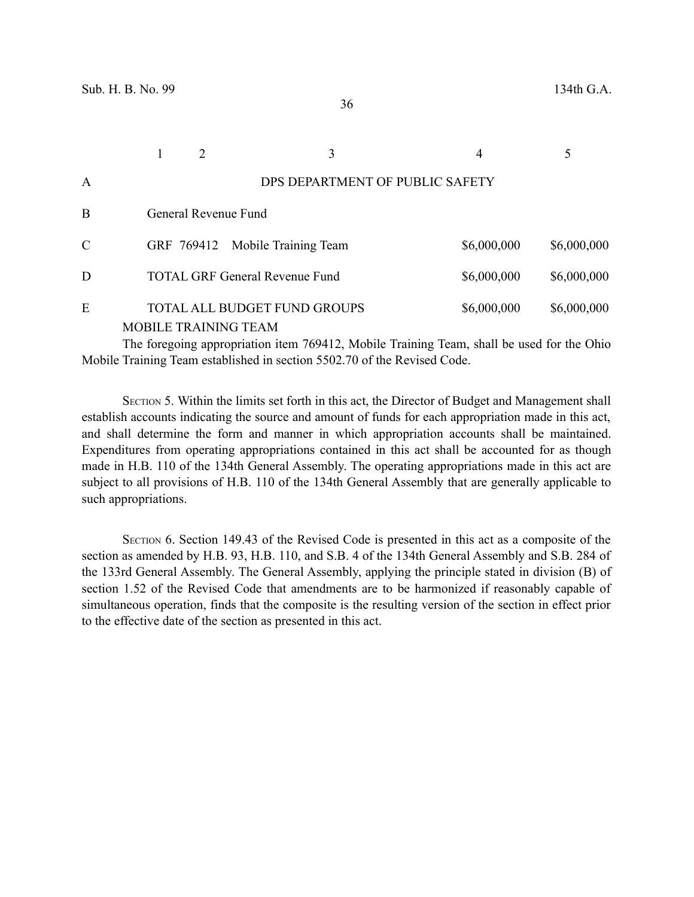36

|   |                                       | 3 | 4           |             |
|---|---------------------------------------|---|-------------|-------------|
| A | DPS DEPARTMENT OF PUBLIC SAFETY       |   |             |             |
| B | General Revenue Fund                  |   |             |             |
| C | GRF 769412 Mobile Training Team       |   | \$6,000,000 | \$6,000,000 |
| D | <b>TOTAL GRF General Revenue Fund</b> |   | \$6,000,000 | \$6,000,000 |
| E | <b>TOTAL ALL BUDGET FUND GROUPS</b>   |   | \$6,000,000 | \$6,000,000 |
|   | <b>MOBILE TRAINING TEAM</b>           |   |             |             |

The foregoing appropriation item 769412, Mobile Training Team, shall be used for the Ohio Mobile Training Team established in section 5502.70 of the Revised Code.

SECTION 5. Within the limits set forth in this act, the Director of Budget and Management shall establish accounts indicating the source and amount of funds for each appropriation made in this act, and shall determine the form and manner in which appropriation accounts shall be maintained. Expenditures from operating appropriations contained in this act shall be accounted for as though made in H.B. 110 of the 134th General Assembly. The operating appropriations made in this act are subject to all provisions of H.B. 110 of the 134th General Assembly that are generally applicable to such appropriations.

SECTION 6. Section 149.43 of the Revised Code is presented in this act as a composite of the section as amended by H.B. 93, H.B. 110, and S.B. 4 of the 134th General Assembly and S.B. 284 of the 133rd General Assembly. The General Assembly, applying the principle stated in division (B) of section 1.52 of the Revised Code that amendments are to be harmonized if reasonably capable of simultaneous operation, finds that the composite is the resulting version of the section in effect prior to the effective date of the section as presented in this act.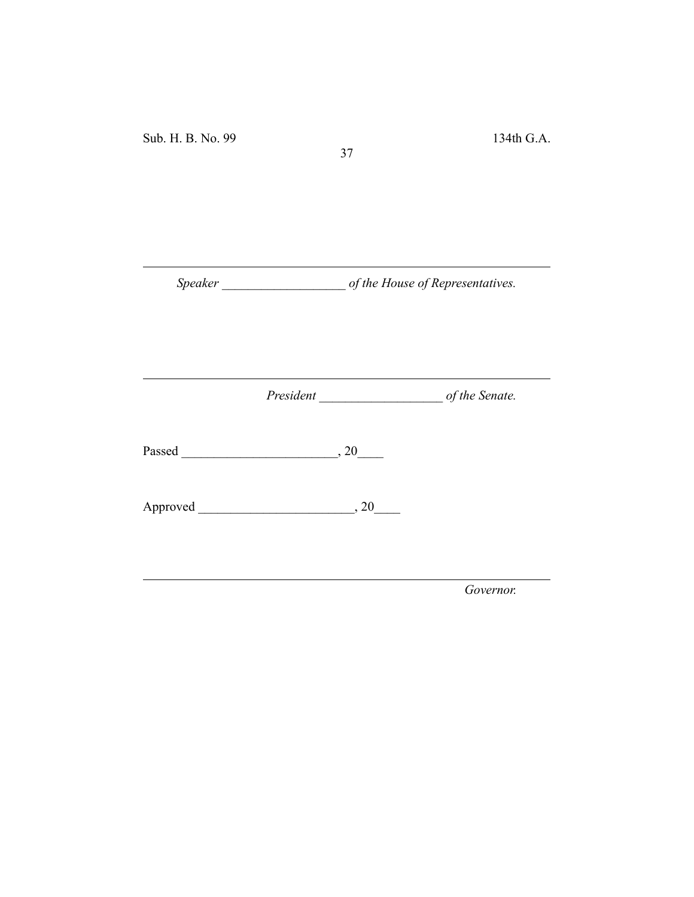*Speaker \_\_\_\_\_\_\_\_\_\_\_\_\_\_\_\_\_\_\_ of the House of Representatives.*

37

*President \_\_\_\_\_\_\_\_\_\_\_\_\_\_\_\_\_\_\_ of the Senate.*

Passed \_\_\_\_\_\_\_\_\_\_\_\_\_\_\_\_\_\_\_\_\_\_\_\_, 20\_\_\_\_

Approved \_\_\_\_\_\_\_\_\_\_\_\_\_\_\_\_\_\_\_\_\_\_\_\_, 20\_\_\_\_

*Governor.*